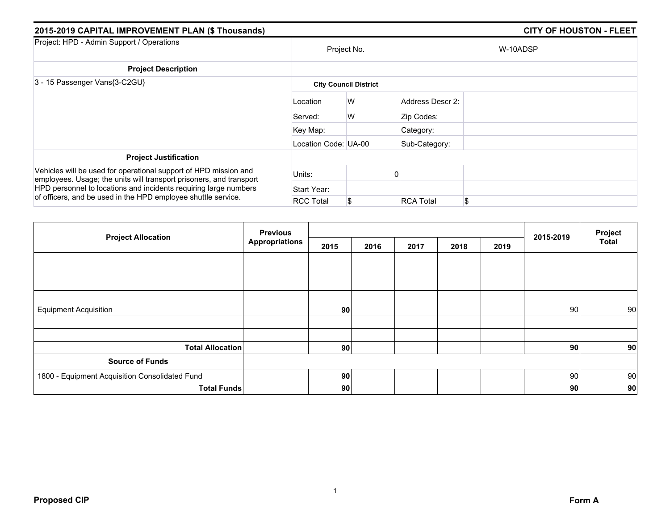| 2015-2019 CAPITAL IMPROVEMENT PLAN (\$ Thousands)                                                                                       |                      |                              |                  | <b>CITY OF HOUSTON - FLEET</b> |
|-----------------------------------------------------------------------------------------------------------------------------------------|----------------------|------------------------------|------------------|--------------------------------|
| Project: HPD - Admin Support / Operations                                                                                               |                      | Project No.                  |                  | W-10ADSP                       |
| <b>Project Description</b>                                                                                                              |                      |                              |                  |                                |
| 3 - 15 Passenger Vans{3-C2GU}                                                                                                           |                      | <b>City Council District</b> |                  |                                |
|                                                                                                                                         | Location             | W                            | Address Descr 2: |                                |
|                                                                                                                                         | Served:              | W                            | Zip Codes:       |                                |
|                                                                                                                                         | Key Map:             |                              | Category:        |                                |
|                                                                                                                                         | Location Code: UA-00 |                              | Sub-Category:    |                                |
| <b>Project Justification</b>                                                                                                            |                      |                              |                  |                                |
| Vehicles will be used for operational support of HPD mission and<br>employees. Usage; the units will transport prisoners, and transport | Units:               |                              |                  |                                |
| HPD personnel to locations and incidents requiring large numbers                                                                        | Start Year:          |                              |                  |                                |
| of officers, and be used in the HPD employee shuttle service.                                                                           | <b>RCC Total</b>     | \$                           | <b>RCA Total</b> | \$                             |

| <b>Project Allocation</b>                      | <b>Previous</b><br><b>Appropriations</b> |      |      |      |      | 2015-2019 | Project |                 |
|------------------------------------------------|------------------------------------------|------|------|------|------|-----------|---------|-----------------|
|                                                |                                          | 2015 | 2016 | 2017 | 2018 | 2019      |         | <b>Total</b>    |
|                                                |                                          |      |      |      |      |           |         |                 |
|                                                |                                          |      |      |      |      |           |         |                 |
|                                                |                                          |      |      |      |      |           |         |                 |
|                                                |                                          |      |      |      |      |           |         |                 |
| <b>Equipment Acquisition</b>                   |                                          | 90   |      |      |      |           | 90      | 90 <sup>°</sup> |
|                                                |                                          |      |      |      |      |           |         |                 |
|                                                |                                          |      |      |      |      |           |         |                 |
| <b>Total Allocation</b>                        |                                          | 90   |      |      |      |           | 90      | 90              |
| <b>Source of Funds</b>                         |                                          |      |      |      |      |           |         |                 |
| 1800 - Equipment Acquisition Consolidated Fund |                                          | 90   |      |      |      |           | 90      | 90              |
| <b>Total Funds</b>                             |                                          | 90   |      |      |      |           | 90      | 90              |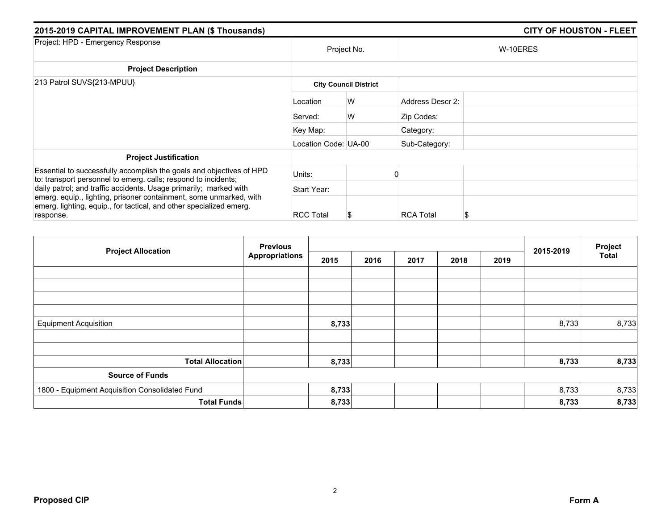| 2015-2019 CAPITAL IMPROVEMENT PLAN (\$ Thousands)                                                                                                                                                                           |                      |                              |                  | <b>CITY OF HOUSTON - FLEET</b> |
|-----------------------------------------------------------------------------------------------------------------------------------------------------------------------------------------------------------------------------|----------------------|------------------------------|------------------|--------------------------------|
| Project: HPD - Emergency Response                                                                                                                                                                                           |                      | Project No.                  |                  | W-10ERES                       |
| <b>Project Description</b>                                                                                                                                                                                                  |                      |                              |                  |                                |
| 213 Patrol SUVS{213-MPUU}                                                                                                                                                                                                   |                      | <b>City Council District</b> |                  |                                |
|                                                                                                                                                                                                                             | Location             | W                            | Address Descr 2: |                                |
|                                                                                                                                                                                                                             | Served:              | W                            | Zip Codes:       |                                |
|                                                                                                                                                                                                                             | Key Map:             |                              | Category:        |                                |
|                                                                                                                                                                                                                             | Location Code: UA-00 |                              | Sub-Category:    |                                |
| <b>Project Justification</b>                                                                                                                                                                                                |                      |                              |                  |                                |
| Essential to successfully accomplish the goals and objectives of HPD<br>to: transport personnel to emerg. calls; respond to incidents;                                                                                      | Units:               |                              |                  |                                |
| daily patrol; and traffic accidents. Usage primarily; marked with<br>emerg. equip., lighting, prisoner containment, some unmarked, with<br>emerg. lighting, equip., for tactical, and other specialized emerg.<br>response. | Start Year:          |                              |                  |                                |
|                                                                                                                                                                                                                             | <b>RCC Total</b>     | Ъ                            | <b>RCA Total</b> | S                              |

|                                                | <b>Previous</b>       |       |      |      |      | 2015-2019 | Project |              |
|------------------------------------------------|-----------------------|-------|------|------|------|-----------|---------|--------------|
| <b>Project Allocation</b>                      | <b>Appropriations</b> | 2015  | 2016 | 2017 | 2018 | 2019      |         | <b>Total</b> |
|                                                |                       |       |      |      |      |           |         |              |
|                                                |                       |       |      |      |      |           |         |              |
|                                                |                       |       |      |      |      |           |         |              |
|                                                |                       |       |      |      |      |           |         |              |
| <b>Equipment Acquisition</b>                   |                       | 8,733 |      |      |      |           | 8,733   | 8,733        |
|                                                |                       |       |      |      |      |           |         |              |
|                                                |                       |       |      |      |      |           |         |              |
| <b>Total Allocation</b>                        |                       | 8,733 |      |      |      |           | 8,733   | 8,733        |
| <b>Source of Funds</b>                         |                       |       |      |      |      |           |         |              |
| 1800 - Equipment Acquisition Consolidated Fund |                       | 8,733 |      |      |      |           | 8,733   | 8,733        |
| <b>Total Funds</b>                             |                       | 8,733 |      |      |      |           | 8,733   | 8,733        |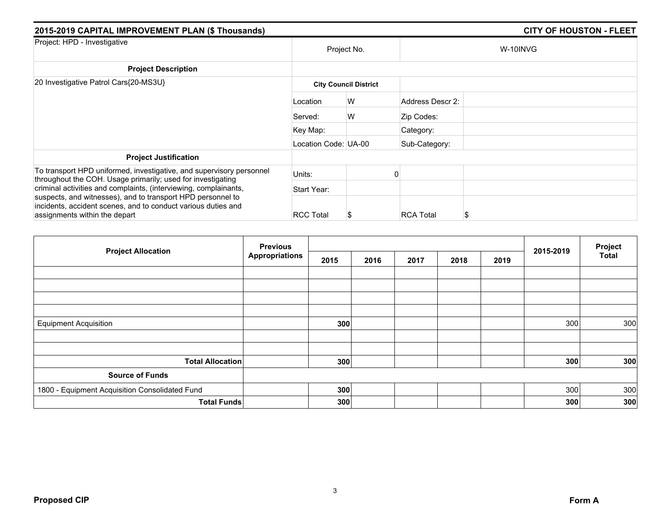| 2015-2019 CAPITAL IMPROVEMENT PLAN (\$ Thousands)                                                                                                             |                      |                              |                  | <b>CITY OF HOUSTON - FLEET</b> |
|---------------------------------------------------------------------------------------------------------------------------------------------------------------|----------------------|------------------------------|------------------|--------------------------------|
| Project: HPD - Investigative                                                                                                                                  |                      | Project No.                  |                  | W-10INVG                       |
| <b>Project Description</b>                                                                                                                                    |                      |                              |                  |                                |
| 20 Investigative Patrol Cars{20-MS3U}                                                                                                                         |                      | <b>City Council District</b> |                  |                                |
|                                                                                                                                                               | Location             | W                            | Address Descr 2: |                                |
|                                                                                                                                                               | Served:              | W                            | Zip Codes:       |                                |
|                                                                                                                                                               | Key Map:             |                              | Category:        |                                |
|                                                                                                                                                               | Location Code: UA-00 |                              | Sub-Category:    |                                |
| <b>Project Justification</b>                                                                                                                                  |                      |                              |                  |                                |
| To transport HPD uniformed, investigative, and supervisory personnel                                                                                          | Units:               |                              |                  |                                |
| throughout the COH. Usage primarily; used for investigating<br>criminal activities and complaints, (interviewing, complainants,                               | Start Year:          |                              |                  |                                |
| suspects, and witnesses), and to transport HPD personnel to<br>incidents, accident scenes, and to conduct various duties and<br>assignments within the depart | <b>RCC Total</b>     | S                            | <b>RCA Total</b> | S                              |

|                                                | <b>Previous</b>       |      |      |      | 2015-2019 | Project |     |              |
|------------------------------------------------|-----------------------|------|------|------|-----------|---------|-----|--------------|
| <b>Project Allocation</b>                      | <b>Appropriations</b> | 2015 | 2016 | 2017 | 2018      | 2019    |     | <b>Total</b> |
|                                                |                       |      |      |      |           |         |     |              |
|                                                |                       |      |      |      |           |         |     |              |
|                                                |                       |      |      |      |           |         |     |              |
|                                                |                       |      |      |      |           |         |     |              |
| <b>Equipment Acquisition</b>                   |                       | 300  |      |      |           |         | 300 | 300          |
|                                                |                       |      |      |      |           |         |     |              |
|                                                |                       |      |      |      |           |         |     |              |
| <b>Total Allocation</b>                        |                       | 300  |      |      |           |         | 300 | 300          |
| <b>Source of Funds</b>                         |                       |      |      |      |           |         |     |              |
| 1800 - Equipment Acquisition Consolidated Fund |                       | 300  |      |      |           |         | 300 | 300          |
| <b>Total Funds</b>                             |                       | 300  |      |      |           |         | 300 | 300          |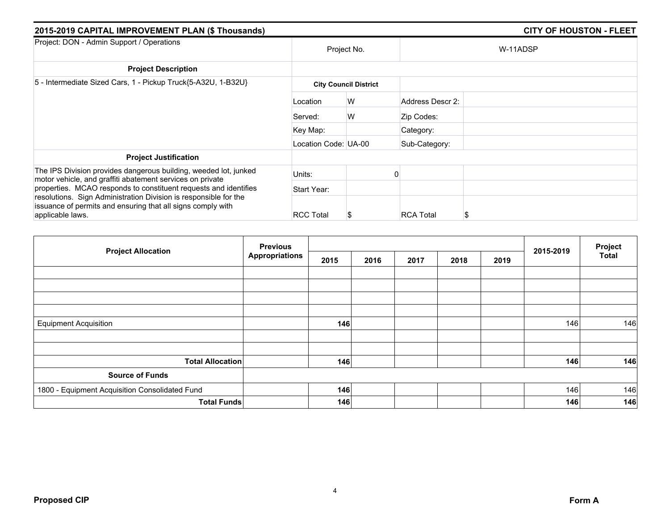| 2015-2019 CAPITAL IMPROVEMENT PLAN (\$ Thousands)                                                                                                                                                                       |                      |                              |                  | <b>CITY OF HOUSTON - FLEET</b> |
|-------------------------------------------------------------------------------------------------------------------------------------------------------------------------------------------------------------------------|----------------------|------------------------------|------------------|--------------------------------|
| Project: DON - Admin Support / Operations                                                                                                                                                                               |                      | Project No.                  |                  | W-11ADSP                       |
| <b>Project Description</b>                                                                                                                                                                                              |                      |                              |                  |                                |
| 5 - Intermediate Sized Cars, 1 - Pickup Truck{5-A32U, 1-B32U}                                                                                                                                                           |                      | <b>City Council District</b> |                  |                                |
|                                                                                                                                                                                                                         | Location             | W                            | Address Descr 2: |                                |
|                                                                                                                                                                                                                         | Served:              | W                            | Zip Codes:       |                                |
|                                                                                                                                                                                                                         | Key Map:             |                              | Category:        |                                |
|                                                                                                                                                                                                                         | Location Code: UA-00 |                              | Sub-Category:    |                                |
| <b>Project Justification</b>                                                                                                                                                                                            |                      |                              |                  |                                |
| The IPS Division provides dangerous building, weeded lot, junked<br>motor vehicle, and graffiti abatement services on private                                                                                           | Units:               |                              |                  |                                |
| properties. MCAO responds to constituent requests and identifies<br>resolutions. Sign Administration Division is responsible for the<br>issuance of permits and ensuring that all signs comply with<br>applicable laws. | Start Year:          |                              |                  |                                |
|                                                                                                                                                                                                                         | <b>RCC Total</b>     | Ъ                            | <b>RCA Total</b> | S                              |

| <b>Project Allocation</b>                      | <b>Previous</b>       |      |      |      | 2015-2019 | Project |     |              |
|------------------------------------------------|-----------------------|------|------|------|-----------|---------|-----|--------------|
|                                                | <b>Appropriations</b> | 2015 | 2016 | 2017 | 2018      | 2019    |     | <b>Total</b> |
|                                                |                       |      |      |      |           |         |     |              |
|                                                |                       |      |      |      |           |         |     |              |
|                                                |                       |      |      |      |           |         |     |              |
|                                                |                       |      |      |      |           |         |     |              |
| <b>Equipment Acquisition</b>                   |                       | 146  |      |      |           |         | 146 | 146          |
|                                                |                       |      |      |      |           |         |     |              |
|                                                |                       |      |      |      |           |         |     |              |
| <b>Total Allocation</b>                        |                       | 146  |      |      |           |         | 146 | 146          |
| <b>Source of Funds</b>                         |                       |      |      |      |           |         |     |              |
| 1800 - Equipment Acquisition Consolidated Fund |                       | 146  |      |      |           |         | 146 | 146          |
| <b>Total Funds</b>                             |                       | 146  |      |      |           |         | 146 | 146          |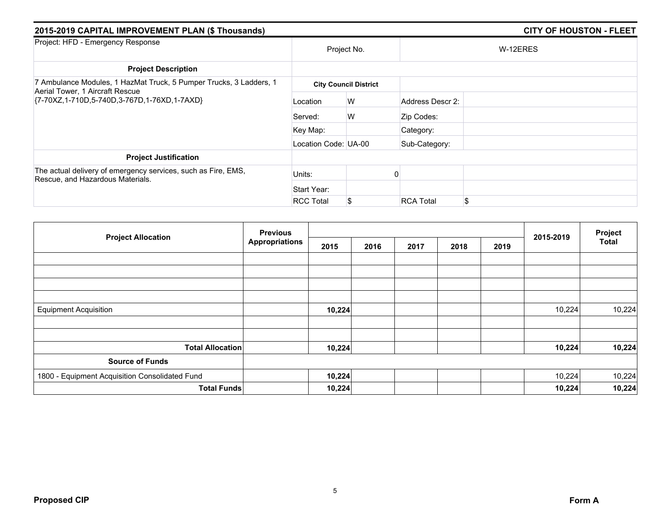| 2015-2019 CAPITAL IMPROVEMENT PLAN (\$ Thousands)                                                 |                      |                              |                  | <b>CITY OF HOUSTON - FLEET</b> |
|---------------------------------------------------------------------------------------------------|----------------------|------------------------------|------------------|--------------------------------|
| Project: HFD - Emergency Response                                                                 |                      | Project No.                  |                  | W-12ERES                       |
| <b>Project Description</b>                                                                        |                      |                              |                  |                                |
| 7 Ambulance Modules, 1 HazMat Truck, 5 Pumper Trucks, 3 Ladders, 1                                |                      | <b>City Council District</b> |                  |                                |
| Aerial Tower, 1 Aircraft Rescue<br>{7-70XZ,1-710D,5-740D,3-767D,1-76XD,1-7AXD}                    | Location             | W                            | Address Descr 2: |                                |
|                                                                                                   | Served:              | W                            | Zip Codes:       |                                |
|                                                                                                   | Key Map:             |                              | Category:        |                                |
|                                                                                                   | Location Code: UA-00 |                              | Sub-Category:    |                                |
| <b>Project Justification</b>                                                                      |                      |                              |                  |                                |
| The actual delivery of emergency services, such as Fire, EMS,<br>Rescue, and Hazardous Materials. | Units:               |                              |                  |                                |
|                                                                                                   | Start Year:          |                              |                  |                                |
|                                                                                                   | <b>RCC Total</b>     |                              | <b>RCA Total</b> | \$                             |

| <b>Project Allocation</b>                      | <b>Previous</b>       |        |      |      |      | Project |           |        |
|------------------------------------------------|-----------------------|--------|------|------|------|---------|-----------|--------|
|                                                | <b>Appropriations</b> | 2015   | 2016 | 2017 | 2018 | 2019    | 2015-2019 | Total  |
|                                                |                       |        |      |      |      |         |           |        |
|                                                |                       |        |      |      |      |         |           |        |
|                                                |                       |        |      |      |      |         |           |        |
| <b>Equipment Acquisition</b>                   |                       | 10,224 |      |      |      |         | 10,224    | 10,224 |
|                                                |                       |        |      |      |      |         |           |        |
| <b>Total Allocation</b>                        |                       | 10,224 |      |      |      |         | 10,224    | 10,224 |
| <b>Source of Funds</b>                         |                       |        |      |      |      |         |           |        |
| 1800 - Equipment Acquisition Consolidated Fund |                       | 10,224 |      |      |      |         | 10,224    | 10,224 |
| <b>Total Funds</b>                             |                       | 10,224 |      |      |      |         | 10,224    | 10,224 |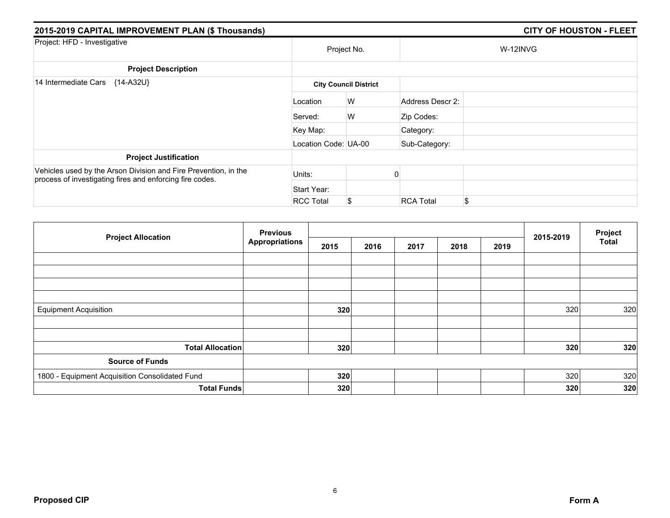| 2015-2019 CAPITAL IMPROVEMENT PLAN (\$ Thousands)                                                                           |                      |                              |                  | <b>CITY OF HOUSTON - FLEET</b> |
|-----------------------------------------------------------------------------------------------------------------------------|----------------------|------------------------------|------------------|--------------------------------|
| Project: HFD - Investigative                                                                                                |                      | Project No.                  |                  | W-12INVG                       |
| <b>Project Description</b>                                                                                                  |                      |                              |                  |                                |
| 14 Intermediate Cars<br>{14-A32U}                                                                                           |                      | <b>City Council District</b> |                  |                                |
|                                                                                                                             | Location             | W                            | Address Descr 2: |                                |
|                                                                                                                             | Served:              | W                            | Zip Codes:       |                                |
|                                                                                                                             | Key Map:             |                              | Category:        |                                |
|                                                                                                                             | Location Code: UA-00 |                              | Sub-Category:    |                                |
| <b>Project Justification</b>                                                                                                |                      |                              |                  |                                |
| Vehicles used by the Arson Division and Fire Prevention, in the<br>process of investigating fires and enforcing fire codes. | Units:               |                              |                  |                                |
|                                                                                                                             | Start Year:          |                              |                  |                                |
|                                                                                                                             | <b>RCC Total</b>     | \$                           | <b>RCA Total</b> | \$                             |

| <b>Project Allocation</b>                      | <b>Previous</b>       |      |      |      | 2015-2019 | Project |     |              |
|------------------------------------------------|-----------------------|------|------|------|-----------|---------|-----|--------------|
|                                                | <b>Appropriations</b> | 2015 | 2016 | 2017 | 2018      | 2019    |     | <b>Total</b> |
|                                                |                       |      |      |      |           |         |     |              |
|                                                |                       |      |      |      |           |         |     |              |
|                                                |                       |      |      |      |           |         |     |              |
|                                                |                       |      |      |      |           |         |     |              |
| <b>Equipment Acquisition</b>                   |                       | 320  |      |      |           |         | 320 | 320          |
|                                                |                       |      |      |      |           |         |     |              |
|                                                |                       |      |      |      |           |         |     |              |
| <b>Total Allocation</b>                        |                       | 320  |      |      |           |         | 320 | 320          |
| <b>Source of Funds</b>                         |                       |      |      |      |           |         |     |              |
| 1800 - Equipment Acquisition Consolidated Fund |                       | 320  |      |      |           |         | 320 | 320          |
| <b>Total Funds</b>                             |                       | 320  |      |      |           |         | 320 | 320          |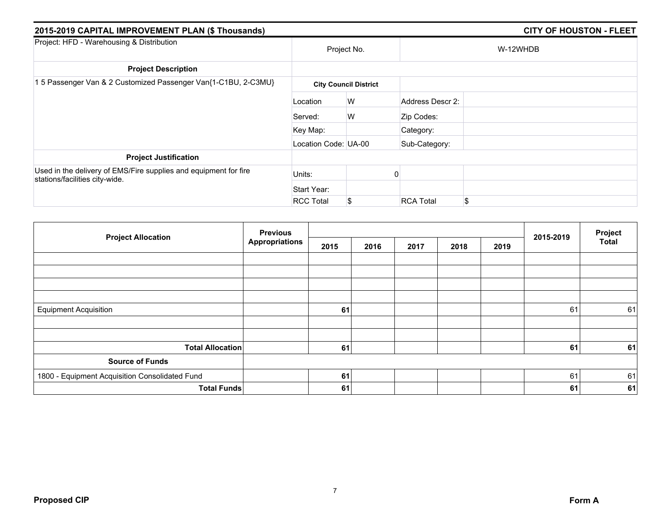| 2015-2019 CAPITAL IMPROVEMENT PLAN (\$ Thousands)                                                  |                      |                              | <b>CITY OF HOUSTON - FLEET</b> |          |  |  |
|----------------------------------------------------------------------------------------------------|----------------------|------------------------------|--------------------------------|----------|--|--|
| Project: HFD - Warehousing & Distribution                                                          | Project No.          |                              |                                | W-12WHDB |  |  |
| <b>Project Description</b>                                                                         |                      |                              |                                |          |  |  |
| 15 Passenger Van & 2 Customized Passenger Van{1-C1BU, 2-C3MU}                                      |                      | <b>City Council District</b> |                                |          |  |  |
|                                                                                                    | Location             | W                            | Address Descr 2:               |          |  |  |
|                                                                                                    | Served:              | W                            | Zip Codes:                     |          |  |  |
|                                                                                                    | Key Map:             |                              | Category:                      |          |  |  |
|                                                                                                    | Location Code: UA-00 |                              | Sub-Category:                  |          |  |  |
| <b>Project Justification</b>                                                                       |                      |                              |                                |          |  |  |
| Used in the delivery of EMS/Fire supplies and equipment for fire<br>stations/facilities city-wide. | Units:               |                              |                                |          |  |  |
|                                                                                                    | Start Year:          |                              |                                |          |  |  |
|                                                                                                    | <b>RCC Total</b>     | \$                           | <b>RCA Total</b>               | \$       |  |  |

| <b>Project Allocation</b>                      | <b>Previous</b>       |      |      |      | Project |      |           |              |
|------------------------------------------------|-----------------------|------|------|------|---------|------|-----------|--------------|
|                                                | <b>Appropriations</b> | 2015 | 2016 | 2017 | 2018    | 2019 | 2015-2019 | <b>Total</b> |
|                                                |                       |      |      |      |         |      |           |              |
|                                                |                       |      |      |      |         |      |           |              |
|                                                |                       |      |      |      |         |      |           |              |
|                                                |                       |      |      |      |         |      |           |              |
| <b>Equipment Acquisition</b>                   |                       | 61   |      |      |         |      | 61        | 61           |
|                                                |                       |      |      |      |         |      |           |              |
| <b>Total Allocation</b>                        |                       | 61   |      |      |         |      | 61        | 61           |
| <b>Source of Funds</b>                         |                       |      |      |      |         |      |           |              |
| 1800 - Equipment Acquisition Consolidated Fund |                       | 61   |      |      |         |      | 61        | 61           |
| <b>Total Funds</b>                             |                       | 61   |      |      |         |      | 61        | 61           |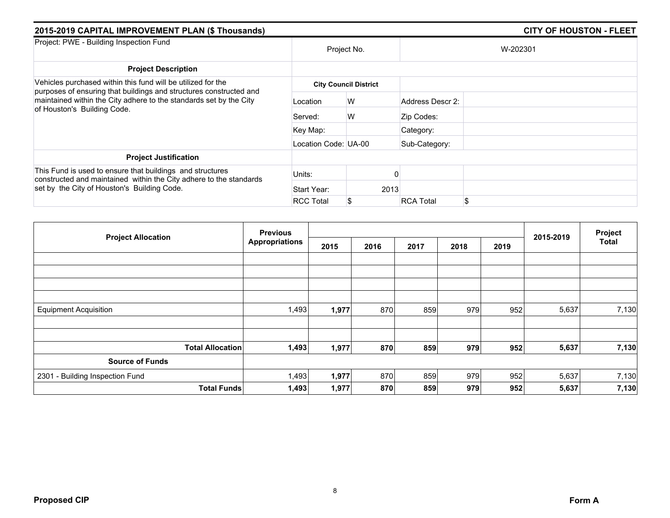| 2015-2019 CAPITAL IMPROVEMENT PLAN (\$ Thousands)                                                                                                                                                                                       |                      |                              | <b>CITY OF HOUSTON - FLEET</b> |  |  |  |  |
|-----------------------------------------------------------------------------------------------------------------------------------------------------------------------------------------------------------------------------------------|----------------------|------------------------------|--------------------------------|--|--|--|--|
| Project: PWE - Building Inspection Fund                                                                                                                                                                                                 |                      | Project No.                  | W-202301                       |  |  |  |  |
| <b>Project Description</b>                                                                                                                                                                                                              |                      |                              |                                |  |  |  |  |
| Vehicles purchased within this fund will be utilized for the<br>purposes of ensuring that buildings and structures constructed and<br>maintained within the City adhere to the standards set by the City<br>of Houston's Building Code. |                      | <b>City Council District</b> |                                |  |  |  |  |
|                                                                                                                                                                                                                                         | Location             | W                            | Address Descr 2:               |  |  |  |  |
|                                                                                                                                                                                                                                         | Served:              | W                            | Zip Codes:                     |  |  |  |  |
|                                                                                                                                                                                                                                         | Key Map:             |                              | Category:                      |  |  |  |  |
|                                                                                                                                                                                                                                         | Location Code: UA-00 |                              | Sub-Category:                  |  |  |  |  |
| <b>Project Justification</b>                                                                                                                                                                                                            |                      |                              |                                |  |  |  |  |
| This Fund is used to ensure that buildings and structures<br>constructed and maintained within the City adhere to the standards<br>set by the City of Houston's Building Code.                                                          | Units:               |                              |                                |  |  |  |  |
|                                                                                                                                                                                                                                         | Start Year:          | 2013                         |                                |  |  |  |  |
|                                                                                                                                                                                                                                         | <b>RCC Total</b>     |                              | \$<br><b>RCA Total</b>         |  |  |  |  |

| <b>Previous</b>                 |                       |       |      | Project |      |      |           |              |
|---------------------------------|-----------------------|-------|------|---------|------|------|-----------|--------------|
| <b>Project Allocation</b>       | <b>Appropriations</b> | 2015  | 2016 | 2017    | 2018 | 2019 | 2015-2019 | <b>Total</b> |
|                                 |                       |       |      |         |      |      |           |              |
|                                 |                       |       |      |         |      |      |           |              |
|                                 |                       |       |      |         |      |      |           |              |
|                                 |                       |       |      |         |      |      |           |              |
| <b>Equipment Acquisition</b>    | 1,493                 | 1,977 | 870  | 859     | 979  | 952  | 5,637     | 7,130        |
|                                 |                       |       |      |         |      |      |           |              |
| <b>Total Allocation</b>         | 1,493                 | 1,977 | 870  | 859     | 979  | 952  | 5,637     | 7,130        |
| <b>Source of Funds</b>          |                       |       |      |         |      |      |           |              |
| 2301 - Building Inspection Fund | 1,493                 | 1,977 | 870  | 859     | 979  | 952  | 5,637     | 7,130        |
| <b>Total Funds</b>              | 1,493                 | 1,977 | 870  | 859     | 979  | 952  | 5,637     | 7,130        |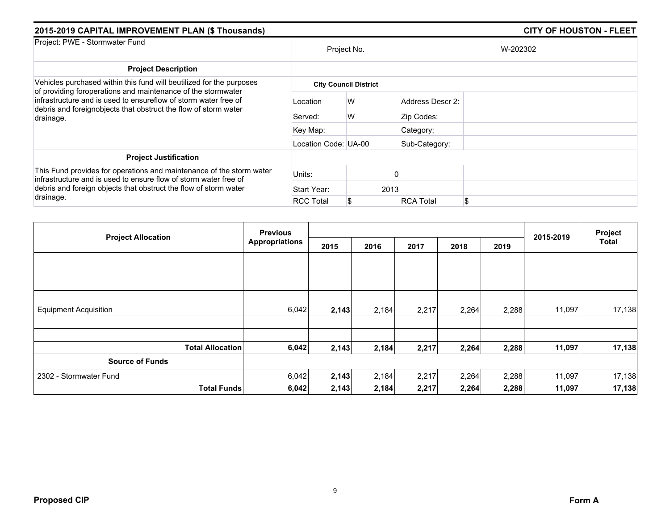| 2015-2019 CAPITAL IMPROVEMENT PLAN (\$ Thousands)                                                                                                                                                               |                      |                              | <b>CITY OF HOUSTON - FLEET</b> |          |  |  |  |
|-----------------------------------------------------------------------------------------------------------------------------------------------------------------------------------------------------------------|----------------------|------------------------------|--------------------------------|----------|--|--|--|
| Project: PWE - Stormwater Fund                                                                                                                                                                                  |                      | Project No.                  |                                | W-202302 |  |  |  |
| <b>Project Description</b>                                                                                                                                                                                      |                      |                              |                                |          |  |  |  |
| Vehicles purchased within this fund will beutilized for the purposes                                                                                                                                            |                      | <b>City Council District</b> |                                |          |  |  |  |
| of providing foroperations and maintenance of the stormwater<br>infrastructure and is used to ensureflow of storm water free of<br>debris and foreignobjects that obstruct the flow of storm water<br>drainage. | Location             | W                            | Address Descr 2:               |          |  |  |  |
|                                                                                                                                                                                                                 | Served:              | W                            | Zip Codes:                     |          |  |  |  |
|                                                                                                                                                                                                                 | Key Map:             |                              | Category:                      |          |  |  |  |
|                                                                                                                                                                                                                 | Location Code: UA-00 |                              | Sub-Category:                  |          |  |  |  |
| <b>Project Justification</b>                                                                                                                                                                                    |                      |                              |                                |          |  |  |  |
| This Fund provides for operations and maintenance of the storm water<br>infrastructure and is used to ensure flow of storm water free of                                                                        | Units:               |                              |                                |          |  |  |  |
| debris and foreign objects that obstruct the flow of storm water<br>drainage.                                                                                                                                   | Start Year:          | 2013                         |                                |          |  |  |  |
|                                                                                                                                                                                                                 | <b>RCC Total</b>     |                              | <b>RCA Total</b>               | \$       |  |  |  |

| <b>Previous</b>              |                       |       |       | Project |       |       |           |        |
|------------------------------|-----------------------|-------|-------|---------|-------|-------|-----------|--------|
| <b>Project Allocation</b>    | <b>Appropriations</b> | 2015  | 2016  | 2017    | 2018  | 2019  | 2015-2019 | Total  |
|                              |                       |       |       |         |       |       |           |        |
|                              |                       |       |       |         |       |       |           |        |
|                              |                       |       |       |         |       |       |           |        |
| <b>Equipment Acquisition</b> | 6,042                 | 2,143 | 2,184 | 2,217   | 2,264 | 2,288 | 11,097    | 17,138 |
|                              |                       |       |       |         |       |       |           |        |
| <b>Total Allocation</b>      | 6,042                 | 2,143 | 2,184 | 2,217   | 2,264 | 2,288 | 11,097    | 17,138 |
| <b>Source of Funds</b>       |                       |       |       |         |       |       |           |        |
| 2302 - Stormwater Fund       | 6,042                 | 2,143 | 2,184 | 2,217   | 2,264 | 2,288 | 11,097    | 17,138 |
| <b>Total Funds</b>           | 6,042                 | 2,143 | 2,184 | 2,217   | 2,264 | 2,288 | 11,097    | 17,138 |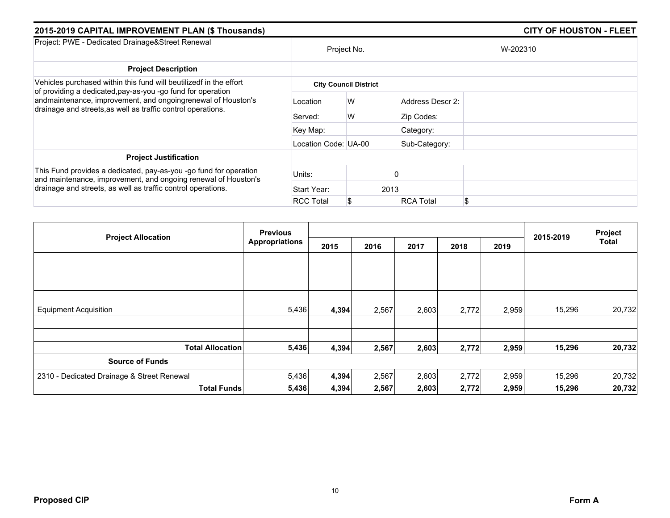| 2015-2019 CAPITAL IMPROVEMENT PLAN (\$ Thousands)                                                                                                                                                                                                                 |                      |                              | <b>CITY OF HOUSTON - FLEET</b> |          |  |  |
|-------------------------------------------------------------------------------------------------------------------------------------------------------------------------------------------------------------------------------------------------------------------|----------------------|------------------------------|--------------------------------|----------|--|--|
| Project: PWE - Dedicated Drainage&Street Renewal                                                                                                                                                                                                                  | Project No.          |                              |                                | W-202310 |  |  |
| <b>Project Description</b>                                                                                                                                                                                                                                        |                      |                              |                                |          |  |  |
| Vehicles purchased within this fund will beutilizedf in the effort<br>of providing a dedicated, pay-as-you -go fund for operation<br>andmaintenance, improvement, and ongoingrenewal of Houston's<br>drainage and streets, as well as traffic control operations. |                      | <b>City Council District</b> |                                |          |  |  |
|                                                                                                                                                                                                                                                                   | Location             | W                            | Address Descr 2:               |          |  |  |
|                                                                                                                                                                                                                                                                   | Served:              | W                            | Zip Codes:                     |          |  |  |
|                                                                                                                                                                                                                                                                   | Key Map:             |                              | Category:                      |          |  |  |
|                                                                                                                                                                                                                                                                   | Location Code: UA-00 |                              | Sub-Category:                  |          |  |  |
| <b>Project Justification</b>                                                                                                                                                                                                                                      |                      |                              |                                |          |  |  |
| This Fund provides a dedicated, pay-as-you -go fund for operation<br>and maintenance, improvement, and ongoing renewal of Houston's<br>drainage and streets, as well as traffic control operations.                                                               | Units:               |                              |                                |          |  |  |
|                                                                                                                                                                                                                                                                   | Start Year:          | 2013                         |                                |          |  |  |
|                                                                                                                                                                                                                                                                   | <b>RCC Total</b>     | \$                           | <b>RCA Total</b>               | \$       |  |  |

|                                            | <b>Previous</b>       |       |       |       |       | Project |           |        |
|--------------------------------------------|-----------------------|-------|-------|-------|-------|---------|-----------|--------|
| <b>Project Allocation</b>                  | <b>Appropriations</b> | 2015  | 2016  | 2017  | 2018  | 2019    | 2015-2019 | Total  |
|                                            |                       |       |       |       |       |         |           |        |
|                                            |                       |       |       |       |       |         |           |        |
|                                            |                       |       |       |       |       |         |           |        |
|                                            |                       |       |       |       |       |         |           |        |
| <b>Equipment Acquisition</b>               | 5,436                 | 4,394 | 2,567 | 2,603 | 2,772 | 2,959   | 15,296    | 20,732 |
|                                            |                       |       |       |       |       |         |           |        |
| <b>Total Allocation</b>                    | 5,436                 | 4,394 | 2,567 | 2,603 | 2,772 | 2,959   | 15,296    | 20,732 |
| <b>Source of Funds</b>                     |                       |       |       |       |       |         |           |        |
| 2310 - Dedicated Drainage & Street Renewal | 5,436                 | 4,394 | 2,567 | 2,603 | 2,772 | 2,959   | 15,296    | 20,732 |
| <b>Total Funds</b>                         | 5,436                 | 4,394 | 2,567 | 2,603 | 2,772 | 2,959   | 15,296    | 20,732 |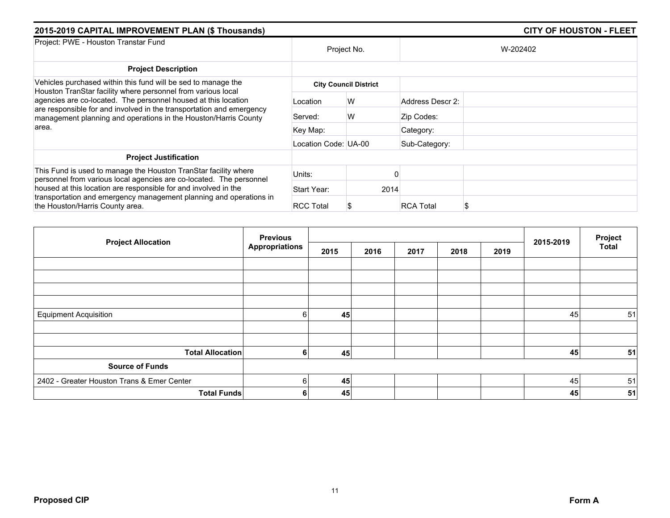| 2015-2019 CAPITAL IMPROVEMENT PLAN (\$ Thousands)                                                                                                                                                         |                      | <b>CITY OF HOUSTON - FLEET</b> |                  |          |  |
|-----------------------------------------------------------------------------------------------------------------------------------------------------------------------------------------------------------|----------------------|--------------------------------|------------------|----------|--|
| Project: PWE - Houston Transtar Fund                                                                                                                                                                      | Project No.          |                                |                  | W-202402 |  |
| <b>Project Description</b>                                                                                                                                                                                |                      |                                |                  |          |  |
| Vehicles purchased within this fund will be sed to manage the<br>Houston TranStar facility where personnel from various local                                                                             |                      | <b>City Council District</b>   |                  |          |  |
| agencies are co-located. The personnel housed at this location<br>are responsible for and involved in the transportation and emergency<br>management planning and operations in the Houston/Harris County | Location             | W                              | Address Descr 2: |          |  |
|                                                                                                                                                                                                           | Served:              | W                              | Zip Codes:       |          |  |
| area.                                                                                                                                                                                                     | Key Map:             |                                | Category:        |          |  |
|                                                                                                                                                                                                           | Location Code: UA-00 |                                | Sub-Category:    |          |  |
| <b>Project Justification</b>                                                                                                                                                                              |                      |                                |                  |          |  |
| This Fund is used to manage the Houston TranStar facility where<br>personnel from various local agencies are co-located. The personnel                                                                    | Units:               |                                |                  |          |  |
| housed at this location are responsible for and involved in the<br>transportation and emergency management planning and operations in<br>the Houston/Harris County area.                                  | Start Year:          | 2014                           |                  |          |  |
|                                                                                                                                                                                                           | <b>RCC Total</b>     |                                | <b>RCA Total</b> |          |  |

|                                            | <b>Previous</b>       |      |      |      | Project |      |           |              |
|--------------------------------------------|-----------------------|------|------|------|---------|------|-----------|--------------|
| <b>Project Allocation</b>                  | <b>Appropriations</b> | 2015 | 2016 | 2017 | 2018    | 2019 | 2015-2019 | <b>Total</b> |
|                                            |                       |      |      |      |         |      |           |              |
|                                            |                       |      |      |      |         |      |           |              |
|                                            |                       |      |      |      |         |      |           |              |
|                                            |                       |      |      |      |         |      |           |              |
| <b>Equipment Acquisition</b>               | 6                     | 45   |      |      |         |      | 45        | 51           |
|                                            |                       |      |      |      |         |      |           |              |
|                                            |                       |      |      |      |         |      |           |              |
| <b>Total Allocation</b>                    | 6                     | 45   |      |      |         |      | 45        | 51           |
| <b>Source of Funds</b>                     |                       |      |      |      |         |      |           |              |
| 2402 - Greater Houston Trans & Emer Center | 6                     | 45   |      |      |         |      | 45        | 51           |
| <b>Total Funds</b>                         | 6                     | 45   |      |      |         |      | 45        | 51           |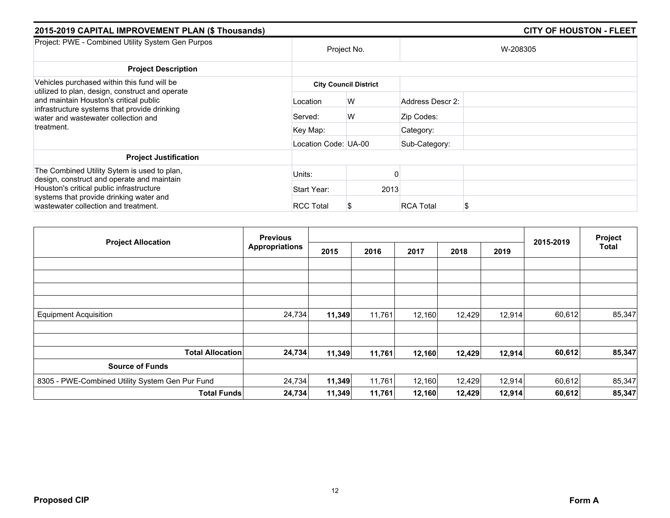| 2015-2019 CAPITAL IMPROVEMENT PLAN (\$ Thousands)                                                                                                                                                                               | <b>CITY OF HOUSTON - FLEET</b> |                              |                  |          |
|---------------------------------------------------------------------------------------------------------------------------------------------------------------------------------------------------------------------------------|--------------------------------|------------------------------|------------------|----------|
| Project: PWE - Combined Utility System Gen Purpos                                                                                                                                                                               |                                | Project No.                  |                  | W-208305 |
| <b>Project Description</b>                                                                                                                                                                                                      |                                |                              |                  |          |
| Vehicles purchased within this fund will be<br>utilized to plan, design, construct and operate<br>and maintain Houston's critical public<br>infrastructure systems that provide drinking<br>water and wastewater collection and |                                | <b>City Council District</b> |                  |          |
|                                                                                                                                                                                                                                 | Location                       | W                            | Address Descr 2: |          |
|                                                                                                                                                                                                                                 | Served:                        | W                            | Zip Codes:       |          |
| treatment.                                                                                                                                                                                                                      | Key Map:                       |                              | Category:        |          |
|                                                                                                                                                                                                                                 | Location Code: UA-00           |                              | Sub-Category:    |          |
| <b>Project Justification</b>                                                                                                                                                                                                    |                                |                              |                  |          |
| The Combined Utility Sytem is used to plan,<br>design, construct and operate and maintain                                                                                                                                       | Units:                         |                              |                  |          |
| Houston's critical public infrastructure                                                                                                                                                                                        | Start Year:                    | 2013                         |                  |          |
| systems that provide drinking water and<br>wastewater collection and treatment.                                                                                                                                                 | <b>RCC Total</b>               | S                            | <b>RCA Total</b> |          |

| <b>Project Allocation</b>                       | <b>Previous</b>       |        |        |        |        |        |           | Project |
|-------------------------------------------------|-----------------------|--------|--------|--------|--------|--------|-----------|---------|
|                                                 | <b>Appropriations</b> | 2015   | 2016   | 2017   | 2018   | 2019   | 2015-2019 | Total   |
|                                                 |                       |        |        |        |        |        |           |         |
|                                                 |                       |        |        |        |        |        |           |         |
|                                                 |                       |        |        |        |        |        |           |         |
| <b>Equipment Acquisition</b>                    | 24,734                | 11,349 | 11,761 | 12,160 | 12,429 | 12,914 | 60,612    | 85,347  |
|                                                 |                       |        |        |        |        |        |           |         |
| <b>Total Allocation</b>                         | 24,734                | 11,349 | 11,761 | 12,160 | 12,429 | 12,914 | 60,612    | 85,347  |
| <b>Source of Funds</b>                          |                       |        |        |        |        |        |           |         |
| 8305 - PWE-Combined Utility System Gen Pur Fund | 24,734                | 11,349 | 11,761 | 12,160 | 12,429 | 12,914 | 60,612    | 85,347  |
| <b>Total Funds</b>                              | 24,734                | 11,349 | 11,761 | 12,160 | 12,429 | 12,914 | 60,612    | 85,347  |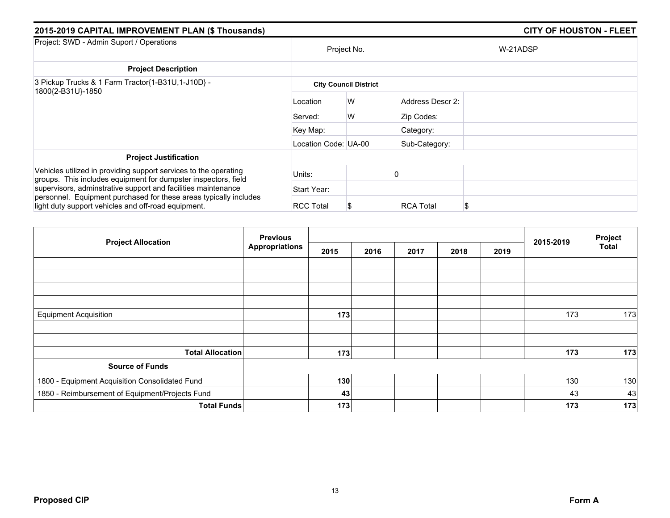| 2015-2019 CAPITAL IMPROVEMENT PLAN (\$ Thousands)                                                                                  |                      |                              |                  | <b>CITY OF HOUSTON - FLEET</b> |  |  |  |  |
|------------------------------------------------------------------------------------------------------------------------------------|----------------------|------------------------------|------------------|--------------------------------|--|--|--|--|
| Project: SWD - Admin Suport / Operations                                                                                           |                      | Project No.                  |                  | W-21ADSP                       |  |  |  |  |
| <b>Project Description</b>                                                                                                         |                      |                              |                  |                                |  |  |  |  |
| 3 Pickup Trucks & 1 Farm Tractor{1-B31U,1-J10D} -<br>1800{2-B31U}-1850                                                             |                      | <b>City Council District</b> |                  |                                |  |  |  |  |
|                                                                                                                                    | Location             | W                            | Address Descr 2: |                                |  |  |  |  |
|                                                                                                                                    | Served:              | W                            | Zip Codes:       |                                |  |  |  |  |
|                                                                                                                                    | Key Map:             |                              | Category:        |                                |  |  |  |  |
|                                                                                                                                    | Location Code: UA-00 |                              | Sub-Category:    |                                |  |  |  |  |
| <b>Project Justification</b>                                                                                                       |                      |                              |                  |                                |  |  |  |  |
| Vehicles utilized in providing support services to the operating<br>groups. This includes equipment for dumpster inspectors, field | Units:               |                              |                  |                                |  |  |  |  |
| supervisors, adminstrative support and facilities maintenance                                                                      | Start Year:          |                              |                  |                                |  |  |  |  |
| personnel. Equipment purchased for these areas typically includes<br>light duty support vehicles and off-road equipment.           | <b>RCC Total</b>     |                              | <b>RCA Total</b> | S                              |  |  |  |  |

| <b>Project Allocation</b>                       | <b>Previous</b>       |      |      |      | 2015-2019 | Project |     |              |
|-------------------------------------------------|-----------------------|------|------|------|-----------|---------|-----|--------------|
|                                                 | <b>Appropriations</b> | 2015 | 2016 | 2017 | 2018      | 2019    |     | <b>Total</b> |
|                                                 |                       |      |      |      |           |         |     |              |
|                                                 |                       |      |      |      |           |         |     |              |
|                                                 |                       |      |      |      |           |         |     |              |
|                                                 |                       |      |      |      |           |         |     |              |
| <b>Equipment Acquisition</b>                    |                       | 173  |      |      |           |         | 173 | 173          |
|                                                 |                       |      |      |      |           |         |     |              |
|                                                 |                       |      |      |      |           |         |     |              |
| <b>Total Allocation</b>                         |                       | 173  |      |      |           |         | 173 | 173          |
| <b>Source of Funds</b>                          |                       |      |      |      |           |         |     |              |
| 1800 - Equipment Acquisition Consolidated Fund  |                       | 130  |      |      |           |         | 130 | 130          |
| 1850 - Reimbursement of Equipment/Projects Fund |                       | 43   |      |      |           |         | 43  | 43           |
| <b>Total Funds</b>                              |                       | 173  |      |      |           |         | 173 | 173          |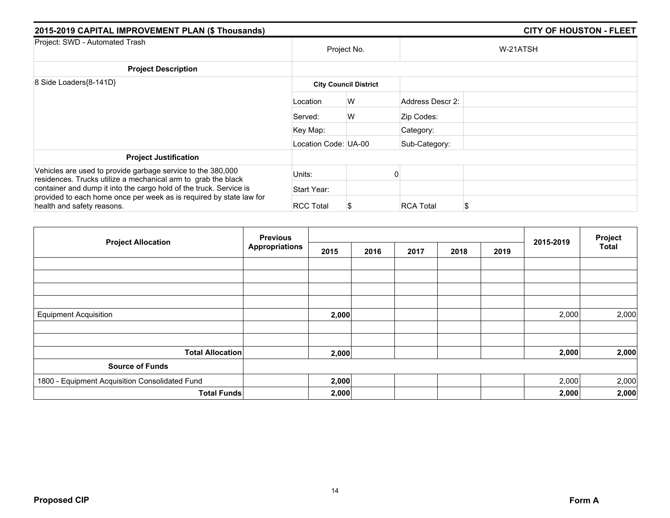| 2015-2019 CAPITAL IMPROVEMENT PLAN (\$ Thousands)                                                                                                                       |                              |             |                  | <b>CITY OF HOUSTON - FLEET</b> |  |  |  |  |
|-------------------------------------------------------------------------------------------------------------------------------------------------------------------------|------------------------------|-------------|------------------|--------------------------------|--|--|--|--|
| Project: SWD - Automated Trash                                                                                                                                          |                              | Project No. |                  | W-21ATSH                       |  |  |  |  |
| <b>Project Description</b>                                                                                                                                              |                              |             |                  |                                |  |  |  |  |
| 8 Side Loaders{8-141D}                                                                                                                                                  | <b>City Council District</b> |             |                  |                                |  |  |  |  |
|                                                                                                                                                                         | Location                     | W           | Address Descr 2: |                                |  |  |  |  |
|                                                                                                                                                                         | Served:                      | W           | Zip Codes:       |                                |  |  |  |  |
|                                                                                                                                                                         | Key Map:                     |             | Category:        |                                |  |  |  |  |
|                                                                                                                                                                         | Location Code: UA-00         |             | Sub-Category:    |                                |  |  |  |  |
| <b>Project Justification</b>                                                                                                                                            |                              |             |                  |                                |  |  |  |  |
| Vehicles are used to provide garbage service to the 380,000<br>residences. Trucks utilize a mechanical arm to grab the black                                            | Units:                       |             |                  |                                |  |  |  |  |
| container and dump it into the cargo hold of the truck. Service is<br>provided to each home once per week as is required by state law for<br>health and safety reasons. | Start Year:                  |             |                  |                                |  |  |  |  |
|                                                                                                                                                                         | <b>RCC Total</b>             |             | <b>RCA Total</b> | \$                             |  |  |  |  |

| <b>Project Allocation</b>                      | <b>Previous</b>       |       |      |      |      | 2015-2019 | Project |              |
|------------------------------------------------|-----------------------|-------|------|------|------|-----------|---------|--------------|
|                                                | <b>Appropriations</b> | 2015  | 2016 | 2017 | 2018 | 2019      |         | <b>Total</b> |
|                                                |                       |       |      |      |      |           |         |              |
|                                                |                       |       |      |      |      |           |         |              |
|                                                |                       |       |      |      |      |           |         |              |
| <b>Equipment Acquisition</b>                   |                       | 2,000 |      |      |      |           | 2,000   | 2,000        |
|                                                |                       |       |      |      |      |           |         |              |
| <b>Total Allocation</b>                        |                       | 2,000 |      |      |      |           | 2,000   | 2,000        |
| <b>Source of Funds</b>                         |                       |       |      |      |      |           |         |              |
| 1800 - Equipment Acquisition Consolidated Fund |                       | 2,000 |      |      |      |           | 2,000   | 2,000        |
| <b>Total Funds</b>                             |                       | 2,000 |      |      |      |           | 2,000   | 2,000        |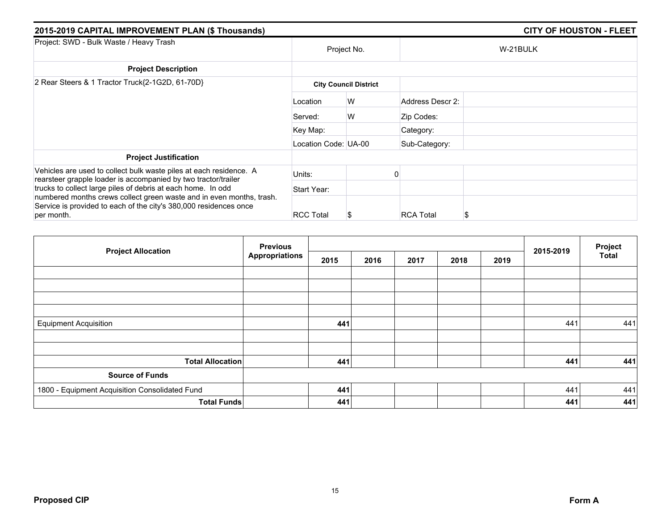| 2015-2019 CAPITAL IMPROVEMENT PLAN (\$ Thousands)                                                                                         |                              |   |                  | <b>CITY OF HOUSTON - FLEET</b> |  |  |  |  |
|-------------------------------------------------------------------------------------------------------------------------------------------|------------------------------|---|------------------|--------------------------------|--|--|--|--|
| Project: SWD - Bulk Waste / Heavy Trash                                                                                                   | Project No.                  |   |                  | W-21BULK                       |  |  |  |  |
| <b>Project Description</b>                                                                                                                |                              |   |                  |                                |  |  |  |  |
| 2 Rear Steers & 1 Tractor Truck{2-1G2D, 61-70D}                                                                                           | <b>City Council District</b> |   |                  |                                |  |  |  |  |
|                                                                                                                                           | Location                     | W | Address Descr 2: |                                |  |  |  |  |
|                                                                                                                                           | Served:                      | W | Zip Codes:       |                                |  |  |  |  |
|                                                                                                                                           | Key Map:                     |   | Category:        |                                |  |  |  |  |
|                                                                                                                                           | Location Code: UA-00         |   | Sub-Category:    |                                |  |  |  |  |
| <b>Project Justification</b>                                                                                                              |                              |   |                  |                                |  |  |  |  |
| Vehicles are used to collect bulk waste piles at each residence. A<br>rearsteer grapple loader is accompanied by two tractor/trailer      | Units:                       |   |                  |                                |  |  |  |  |
| trucks to collect large piles of debris at each home. In odd                                                                              | Start Year:                  |   |                  |                                |  |  |  |  |
| numbered months crews collect green waste and in even months, trash.<br>Service is provided to each of the city's 380,000 residences once |                              |   |                  |                                |  |  |  |  |
| per month.                                                                                                                                | <b>RCC Total</b>             |   | <b>RCA Total</b> | S                              |  |  |  |  |

| <b>Project Allocation</b>                      | <b>Previous</b><br><b>Appropriations</b> |      |      |      | 2015-2019 | Project |     |              |
|------------------------------------------------|------------------------------------------|------|------|------|-----------|---------|-----|--------------|
|                                                |                                          | 2015 | 2016 | 2017 | 2018      | 2019    |     | <b>Total</b> |
|                                                |                                          |      |      |      |           |         |     |              |
|                                                |                                          |      |      |      |           |         |     |              |
|                                                |                                          |      |      |      |           |         |     |              |
|                                                |                                          |      |      |      |           |         |     |              |
| <b>Equipment Acquisition</b>                   |                                          | 441  |      |      |           |         | 441 | 441          |
|                                                |                                          |      |      |      |           |         |     |              |
|                                                |                                          |      |      |      |           |         |     |              |
| <b>Total Allocation</b>                        |                                          | 441  |      |      |           |         | 441 | 441          |
| <b>Source of Funds</b>                         |                                          |      |      |      |           |         |     |              |
| 1800 - Equipment Acquisition Consolidated Fund |                                          | 441  |      |      |           |         | 441 | 441          |
| <b>Total Funds</b>                             |                                          | 441  |      |      |           |         | 441 | 441          |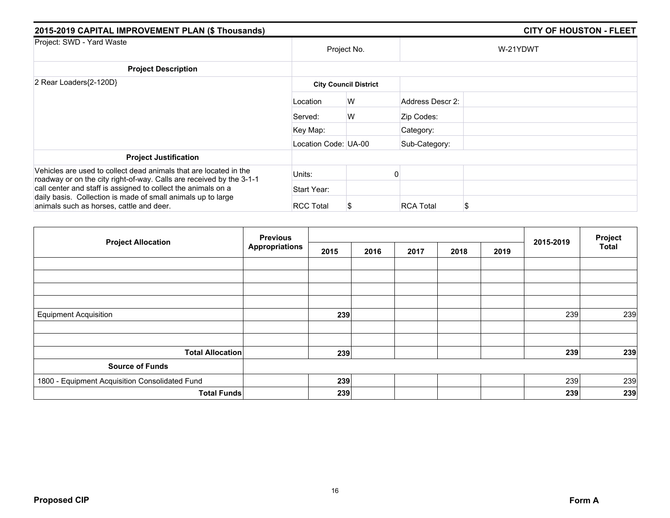| 2015-2019 CAPITAL IMPROVEMENT PLAN (\$ Thousands)                                                                                         |                      |                              |                  |          |  |
|-------------------------------------------------------------------------------------------------------------------------------------------|----------------------|------------------------------|------------------|----------|--|
| Project: SWD - Yard Waste                                                                                                                 |                      | Project No.                  |                  | W-21YDWT |  |
| <b>Project Description</b>                                                                                                                |                      |                              |                  |          |  |
| 2 Rear Loaders{2-120D}                                                                                                                    |                      | <b>City Council District</b> |                  |          |  |
|                                                                                                                                           | Location             | W                            | Address Descr 2: |          |  |
|                                                                                                                                           | Served:              | W                            | Zip Codes:       |          |  |
|                                                                                                                                           | Key Map:             |                              | Category:        |          |  |
|                                                                                                                                           | Location Code: UA-00 |                              | Sub-Category:    |          |  |
| <b>Project Justification</b>                                                                                                              |                      |                              |                  |          |  |
| Vehicles are used to collect dead animals that are located in the<br>roadway or on the city right-of-way. Calls are received by the 3-1-1 | Units:               |                              |                  |          |  |
| call center and staff is assigned to collect the animals on a                                                                             | Start Year:          |                              |                  |          |  |
| daily basis. Collection is made of small animals up to large<br>animals such as horses, cattle and deer.                                  | <b>RCC Total</b>     | S                            | <b>RCA Total</b> | S        |  |

| <b>Project Allocation</b>                      | <b>Previous</b><br><b>Appropriations</b> |      |      |      | 2015-2019 | Project |     |              |
|------------------------------------------------|------------------------------------------|------|------|------|-----------|---------|-----|--------------|
|                                                |                                          | 2015 | 2016 | 2017 | 2018      | 2019    |     | <b>Total</b> |
|                                                |                                          |      |      |      |           |         |     |              |
|                                                |                                          |      |      |      |           |         |     |              |
|                                                |                                          |      |      |      |           |         |     |              |
|                                                |                                          |      |      |      |           |         |     |              |
| <b>Equipment Acquisition</b>                   |                                          | 239  |      |      |           |         | 239 | 239          |
|                                                |                                          |      |      |      |           |         |     |              |
|                                                |                                          |      |      |      |           |         |     |              |
| <b>Total Allocation</b>                        |                                          | 239  |      |      |           |         | 239 | 239          |
| <b>Source of Funds</b>                         |                                          |      |      |      |           |         |     |              |
| 1800 - Equipment Acquisition Consolidated Fund |                                          | 239  |      |      |           |         | 239 | 239          |
| <b>Total Funds</b>                             |                                          | 239  |      |      |           |         | 239 | 239          |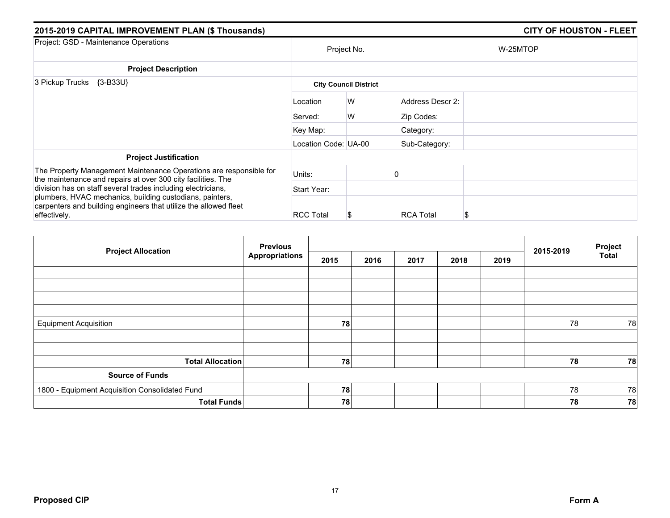| 2015-2019 CAPITAL IMPROVEMENT PLAN (\$ Thousands)                                                                                  |                      | <b>CITY OF HOUSTON - FLEET</b> |                  |          |  |
|------------------------------------------------------------------------------------------------------------------------------------|----------------------|--------------------------------|------------------|----------|--|
| Project: GSD - Maintenance Operations                                                                                              | Project No.          |                                |                  | W-25MTOP |  |
| <b>Project Description</b>                                                                                                         |                      |                                |                  |          |  |
| 3 Pickup Trucks<br>$\{3-B33U\}$                                                                                                    |                      | <b>City Council District</b>   |                  |          |  |
|                                                                                                                                    | Location             | W                              | Address Descr 2: |          |  |
|                                                                                                                                    | Served:              | W                              | Zip Codes:       |          |  |
|                                                                                                                                    | Key Map:             |                                | Category:        |          |  |
|                                                                                                                                    | Location Code: UA-00 |                                | Sub-Category:    |          |  |
| <b>Project Justification</b>                                                                                                       |                      |                                |                  |          |  |
| The Property Management Maintenance Operations are responsible for<br>the maintenance and repairs at over 300 city facilities. The | Units:               |                                |                  |          |  |
| division has on staff several trades including electricians,                                                                       | Start Year:          |                                |                  |          |  |
| plumbers, HVAC mechanics, building custodians, painters,<br>carpenters and building engineers that utilize the allowed fleet       |                      |                                |                  |          |  |
| effectively.                                                                                                                       | <b>RCC Total</b>     | S                              | <b>RCA Total</b> | S        |  |

| <b>Project Allocation</b>                      | <b>Previous</b><br>Appropriations |      |      |      |      | 2015-2019 | Project |              |
|------------------------------------------------|-----------------------------------|------|------|------|------|-----------|---------|--------------|
|                                                |                                   | 2015 | 2016 | 2017 | 2018 | 2019      |         | <b>Total</b> |
|                                                |                                   |      |      |      |      |           |         |              |
|                                                |                                   |      |      |      |      |           |         |              |
|                                                |                                   |      |      |      |      |           |         |              |
|                                                |                                   |      |      |      |      |           |         |              |
| <b>Equipment Acquisition</b>                   |                                   | 78   |      |      |      |           | 78      | 78           |
|                                                |                                   |      |      |      |      |           |         |              |
|                                                |                                   |      |      |      |      |           |         |              |
| <b>Total Allocation</b>                        |                                   | 78   |      |      |      |           | 78      | 78           |
| <b>Source of Funds</b>                         |                                   |      |      |      |      |           |         |              |
| 1800 - Equipment Acquisition Consolidated Fund |                                   | 78   |      |      |      |           | 78      | 78           |
| <b>Total Funds</b>                             |                                   | 78   |      |      |      |           | 78      | 78           |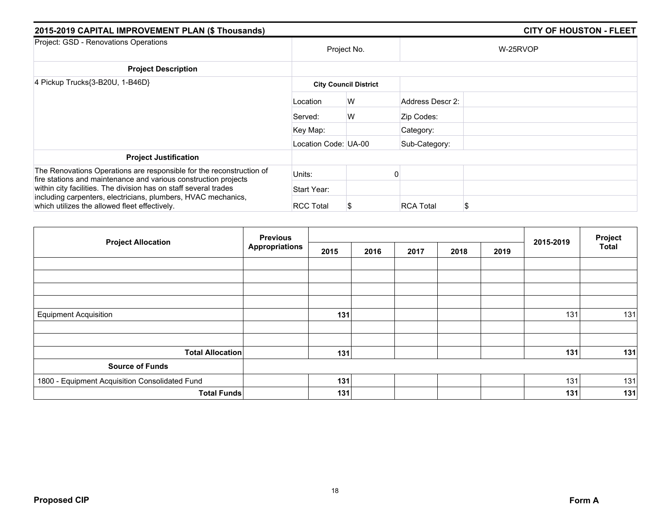| 2015-2019 CAPITAL IMPROVEMENT PLAN (\$ Thousands)                                                                                       |                      | <b>CITY OF HOUSTON - FLEET</b> |                  |          |  |
|-----------------------------------------------------------------------------------------------------------------------------------------|----------------------|--------------------------------|------------------|----------|--|
| Project: GSD - Renovations Operations                                                                                                   | Project No.          |                                |                  | W-25RVOP |  |
| <b>Project Description</b>                                                                                                              |                      |                                |                  |          |  |
| 4 Pickup Trucks{3-B20U, 1-B46D}                                                                                                         |                      | <b>City Council District</b>   |                  |          |  |
|                                                                                                                                         | Location             | W                              | Address Descr 2: |          |  |
|                                                                                                                                         | Served:              | W                              | Zip Codes:       |          |  |
|                                                                                                                                         | Key Map:             |                                | Category:        |          |  |
|                                                                                                                                         | Location Code: UA-00 |                                | Sub-Category:    |          |  |
| <b>Project Justification</b>                                                                                                            |                      |                                |                  |          |  |
| The Renovations Operations are responsible for the reconstruction of<br>fire stations and maintenance and various construction projects | Units:               |                                |                  |          |  |
| within city facilities. The division has on staff several trades                                                                        | Start Year:          |                                |                  |          |  |
| including carpenters, electricians, plumbers, HVAC mechanics,<br>which utilizes the allowed fleet effectively.                          | <b>RCC Total</b>     | S                              | <b>RCA Total</b> | S        |  |

| <b>Project Allocation</b>                      | <b>Previous</b><br><b>Appropriations</b> |      |      |      | 2015-2019 | Project |     |              |
|------------------------------------------------|------------------------------------------|------|------|------|-----------|---------|-----|--------------|
|                                                |                                          | 2015 | 2016 | 2017 | 2018      | 2019    |     | <b>Total</b> |
|                                                |                                          |      |      |      |           |         |     |              |
|                                                |                                          |      |      |      |           |         |     |              |
|                                                |                                          |      |      |      |           |         |     |              |
| <b>Equipment Acquisition</b>                   |                                          | 131  |      |      |           |         | 131 | 131          |
|                                                |                                          |      |      |      |           |         |     |              |
|                                                |                                          |      |      |      |           |         |     |              |
| <b>Total Allocation</b>                        |                                          | 131  |      |      |           |         | 131 | 131          |
| <b>Source of Funds</b>                         |                                          |      |      |      |           |         |     |              |
| 1800 - Equipment Acquisition Consolidated Fund |                                          | 131  |      |      |           |         | 131 | 131          |
| <b>Total Funds</b>                             |                                          | 131  |      |      |           |         | 131 | 131          |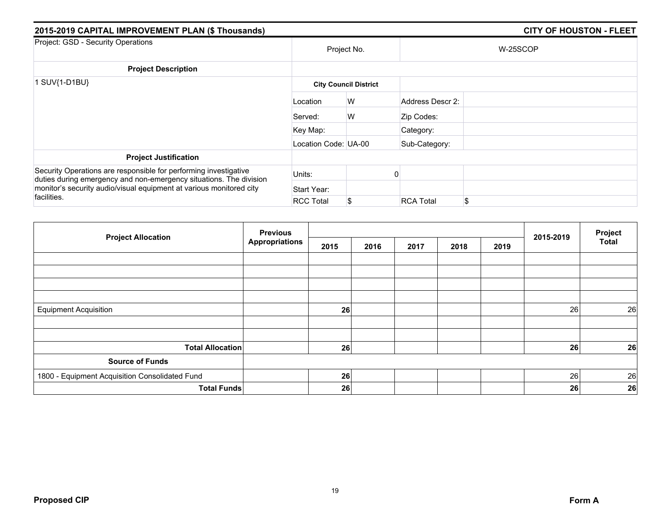| 2015-2019 CAPITAL IMPROVEMENT PLAN (\$ Thousands)                                                                                                                                                                            |                      |                              |                  | <b>CITY OF HOUSTON - FLEET</b> |  |  |
|------------------------------------------------------------------------------------------------------------------------------------------------------------------------------------------------------------------------------|----------------------|------------------------------|------------------|--------------------------------|--|--|
| Project: GSD - Security Operations                                                                                                                                                                                           |                      | Project No.                  |                  | W-25SCOP                       |  |  |
| <b>Project Description</b>                                                                                                                                                                                                   |                      |                              |                  |                                |  |  |
| SUV{1-D1BU}                                                                                                                                                                                                                  |                      | <b>City Council District</b> |                  |                                |  |  |
|                                                                                                                                                                                                                              | Location             | W                            | Address Descr 2: |                                |  |  |
|                                                                                                                                                                                                                              | Served:              | W                            | Zip Codes:       |                                |  |  |
|                                                                                                                                                                                                                              | Key Map:             |                              | Category:        |                                |  |  |
|                                                                                                                                                                                                                              | Location Code: UA-00 |                              | Sub-Category:    |                                |  |  |
| <b>Project Justification</b>                                                                                                                                                                                                 |                      |                              |                  |                                |  |  |
| Security Operations are responsible for performing investigative<br>duties during emergency and non-emergency situations. The division<br>monitor's security audio/visual equipment at various monitored city<br>facilities. | Units:               |                              |                  |                                |  |  |
|                                                                                                                                                                                                                              | Start Year:          |                              |                  |                                |  |  |
|                                                                                                                                                                                                                              | <b>RCC Total</b>     | S                            | <b>RCA Total</b> | \$                             |  |  |

| <b>Project Allocation</b>                      | <b>Previous</b>       |      |      |      |      | 2015-2019 | Project |              |
|------------------------------------------------|-----------------------|------|------|------|------|-----------|---------|--------------|
|                                                | <b>Appropriations</b> | 2015 | 2016 | 2017 | 2018 | 2019      |         | <b>Total</b> |
|                                                |                       |      |      |      |      |           |         |              |
|                                                |                       |      |      |      |      |           |         |              |
|                                                |                       |      |      |      |      |           |         |              |
|                                                |                       |      |      |      |      |           |         |              |
| <b>Equipment Acquisition</b>                   |                       | 26   |      |      |      |           | 26      | 26           |
|                                                |                       |      |      |      |      |           |         |              |
| <b>Total Allocation</b>                        |                       | 26   |      |      |      |           | 26      | 26           |
| <b>Source of Funds</b>                         |                       |      |      |      |      |           |         |              |
| 1800 - Equipment Acquisition Consolidated Fund |                       | 26   |      |      |      |           | 26      | 26           |
| <b>Total Funds</b>                             |                       | 26   |      |      |      |           | 26      | 26           |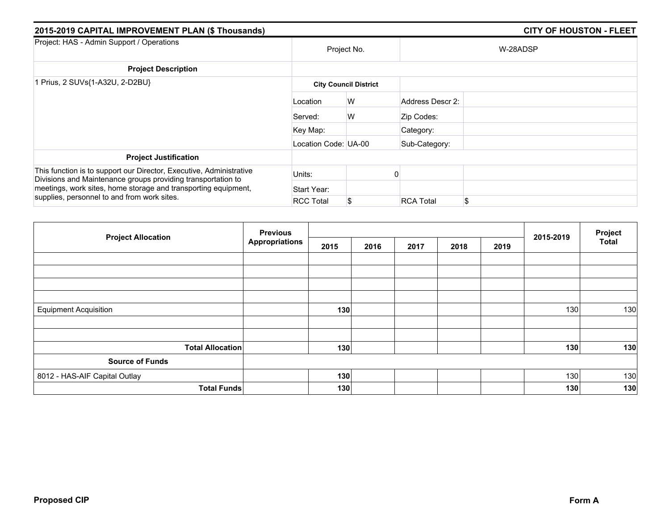| 2015-2019 CAPITAL IMPROVEMENT PLAN (\$ Thousands)                                                                                                                                                     |                      |                              |                  | <b>CITY OF HOUSTON - FLEET</b> |  |  |  |  |
|-------------------------------------------------------------------------------------------------------------------------------------------------------------------------------------------------------|----------------------|------------------------------|------------------|--------------------------------|--|--|--|--|
| Project: HAS - Admin Support / Operations                                                                                                                                                             |                      | Project No.                  |                  | W-28ADSP                       |  |  |  |  |
| <b>Project Description</b>                                                                                                                                                                            |                      |                              |                  |                                |  |  |  |  |
| 1 Prius, 2 SUVs{1-A32U, 2-D2BU}                                                                                                                                                                       |                      | <b>City Council District</b> |                  |                                |  |  |  |  |
|                                                                                                                                                                                                       | Location             | W                            | Address Descr 2: |                                |  |  |  |  |
|                                                                                                                                                                                                       | Served:              | W                            | Zip Codes:       |                                |  |  |  |  |
|                                                                                                                                                                                                       | Key Map:             |                              | Category:        |                                |  |  |  |  |
|                                                                                                                                                                                                       | Location Code: UA-00 |                              | Sub-Category:    |                                |  |  |  |  |
| <b>Project Justification</b>                                                                                                                                                                          |                      |                              |                  |                                |  |  |  |  |
| This function is to support our Director, Executive, Administrative<br>Divisions and Maintenance groups providing transportation to<br>meetings, work sites, home storage and transporting equipment, | Units:               |                              |                  |                                |  |  |  |  |
|                                                                                                                                                                                                       | Start Year:          |                              |                  |                                |  |  |  |  |
| supplies, personnel to and from work sites.                                                                                                                                                           | <b>RCC Total</b>     | S                            | <b>RCA Total</b> | \$                             |  |  |  |  |

| <b>Project Allocation</b>     | <b>Previous</b>       |      |      |      |      | Project |           |              |
|-------------------------------|-----------------------|------|------|------|------|---------|-----------|--------------|
|                               | <b>Appropriations</b> | 2015 | 2016 | 2017 | 2018 | 2019    | 2015-2019 | <b>Total</b> |
|                               |                       |      |      |      |      |         |           |              |
|                               |                       |      |      |      |      |         |           |              |
|                               |                       |      |      |      |      |         |           |              |
|                               |                       |      |      |      |      |         |           |              |
| <b>Equipment Acquisition</b>  |                       | 130  |      |      |      |         | 130       | 130          |
|                               |                       |      |      |      |      |         |           |              |
| <b>Total Allocation</b>       |                       | 130  |      |      |      |         | 130       | 130          |
| <b>Source of Funds</b>        |                       |      |      |      |      |         |           |              |
| 8012 - HAS-AIF Capital Outlay |                       | 130  |      |      |      |         | 130       | 130          |
| <b>Total Funds</b>            |                       | 130  |      |      |      |         | 130       | 130          |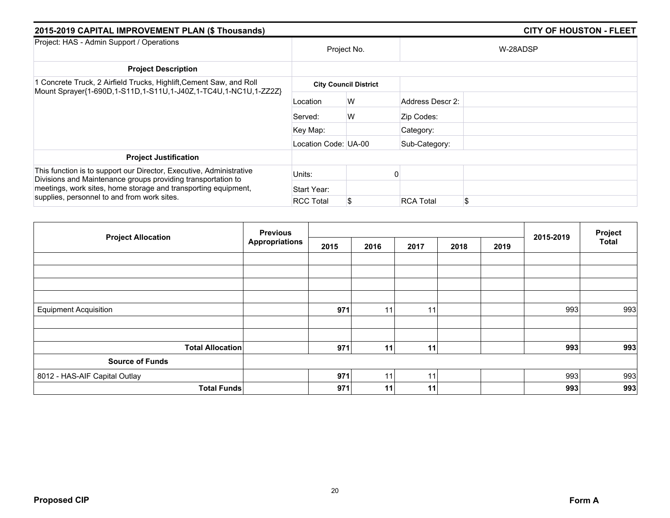| 2015-2019 CAPITAL IMPROVEMENT PLAN (\$ Thousands)                                                                                                                                                                                                    |                      |                              |                  |          |  |
|------------------------------------------------------------------------------------------------------------------------------------------------------------------------------------------------------------------------------------------------------|----------------------|------------------------------|------------------|----------|--|
| Project: HAS - Admin Support / Operations                                                                                                                                                                                                            | Project No.          |                              |                  | W-28ADSP |  |
| <b>Project Description</b>                                                                                                                                                                                                                           |                      |                              |                  |          |  |
| 1 Concrete Truck, 2 Airfield Trucks, Highlift, Cement Saw, and Roll<br>Mount Sprayer{1-690D,1-S11D,1-S11U,1-J40Z,1-TC4U,1-NC1U,1-ZZ2Z}                                                                                                               |                      | <b>City Council District</b> |                  |          |  |
|                                                                                                                                                                                                                                                      | Location             | W                            | Address Descr 2: |          |  |
|                                                                                                                                                                                                                                                      | Served:              | W                            | Zip Codes:       |          |  |
|                                                                                                                                                                                                                                                      | Key Map:             |                              | Category:        |          |  |
|                                                                                                                                                                                                                                                      | Location Code: UA-00 |                              | Sub-Category:    |          |  |
| <b>Project Justification</b>                                                                                                                                                                                                                         |                      |                              |                  |          |  |
| This function is to support our Director, Executive, Administrative<br>Divisions and Maintenance groups providing transportation to<br>meetings, work sites, home storage and transporting equipment,<br>supplies, personnel to and from work sites. | Units:               |                              |                  |          |  |
|                                                                                                                                                                                                                                                      | Start Year:          |                              |                  |          |  |
|                                                                                                                                                                                                                                                      | <b>RCC Total</b>     | \$                           | <b>RCA Total</b> | \$       |  |

| <b>Project Allocation</b>     | <b>Previous</b><br><b>Appropriations</b> |      |                 |      | 2015-2019 | Project |     |              |
|-------------------------------|------------------------------------------|------|-----------------|------|-----------|---------|-----|--------------|
|                               |                                          | 2015 | 2016            | 2017 | 2018      | 2019    |     | <b>Total</b> |
|                               |                                          |      |                 |      |           |         |     |              |
|                               |                                          |      |                 |      |           |         |     |              |
|                               |                                          |      |                 |      |           |         |     |              |
|                               |                                          |      |                 |      |           |         |     |              |
| <b>Equipment Acquisition</b>  |                                          | 971  | 11              | 11   |           |         | 993 | 993          |
|                               |                                          |      |                 |      |           |         |     |              |
|                               |                                          |      |                 |      |           |         |     |              |
| <b>Total Allocation</b>       |                                          | 971  | 11 <sub>1</sub> | 11   |           |         | 993 | 993          |
| <b>Source of Funds</b>        |                                          |      |                 |      |           |         |     |              |
| 8012 - HAS-AIF Capital Outlay |                                          | 971  | 11              | 11   |           |         | 993 | 993          |
| <b>Total Funds</b>            |                                          | 971  | 11              | 11   |           |         | 993 | 993          |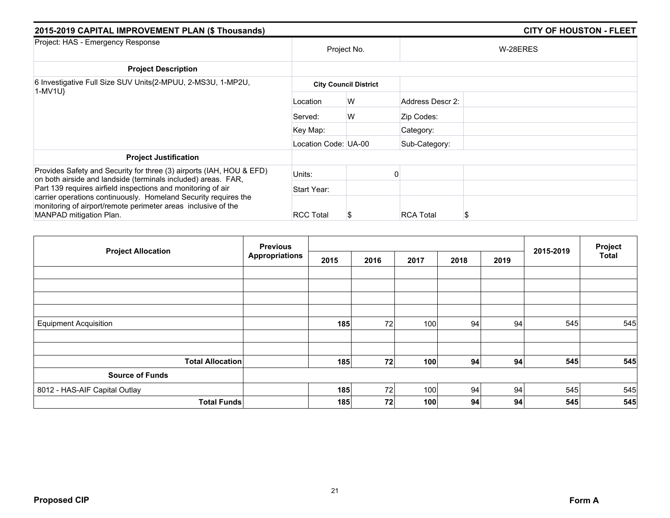| 2015-2019 CAPITAL IMPROVEMENT PLAN (\$ Thousands)                                                                                                                                                                           |                              |             |                  | <b>CITY OF HOUSTON - FLEET</b> |  |  |  |  |
|-----------------------------------------------------------------------------------------------------------------------------------------------------------------------------------------------------------------------------|------------------------------|-------------|------------------|--------------------------------|--|--|--|--|
| Project: HAS - Emergency Response                                                                                                                                                                                           |                              | Project No. |                  | W-28ERES                       |  |  |  |  |
| <b>Project Description</b>                                                                                                                                                                                                  |                              |             |                  |                                |  |  |  |  |
| 6 Investigative Full Size SUV Units{2-MPUU, 2-MS3U, 1-MP2U,<br>1-MV1U}                                                                                                                                                      | <b>City Council District</b> |             |                  |                                |  |  |  |  |
|                                                                                                                                                                                                                             | Location                     | W           | Address Descr 2: |                                |  |  |  |  |
|                                                                                                                                                                                                                             | Served:                      | W           | Zip Codes:       |                                |  |  |  |  |
|                                                                                                                                                                                                                             | Key Map:                     |             | Category:        |                                |  |  |  |  |
|                                                                                                                                                                                                                             | Location Code: UA-00         |             | Sub-Category:    |                                |  |  |  |  |
| <b>Project Justification</b>                                                                                                                                                                                                |                              |             |                  |                                |  |  |  |  |
| Provides Safety and Security for three (3) airports (IAH, HOU & EFD)<br>on both airside and landside (terminals included) areas. FAR,                                                                                       | Units:                       |             |                  |                                |  |  |  |  |
| Part 139 requires airfield inspections and monitoring of air<br>carrier operations continuously. Homeland Security requires the<br>monitoring of airport/remote perimeter areas inclusive of the<br>MANPAD mitigation Plan. | Start Year:                  |             |                  |                                |  |  |  |  |
|                                                                                                                                                                                                                             | <b>RCC Total</b>             |             | <b>RCA Total</b> | S                              |  |  |  |  |

|                               | <b>Previous</b>       |      |      | Project |      |      |           |              |
|-------------------------------|-----------------------|------|------|---------|------|------|-----------|--------------|
| <b>Project Allocation</b>     | <b>Appropriations</b> | 2015 | 2016 | 2017    | 2018 | 2019 | 2015-2019 | <b>Total</b> |
|                               |                       |      |      |         |      |      |           |              |
|                               |                       |      |      |         |      |      |           |              |
|                               |                       |      |      |         |      |      |           |              |
|                               |                       |      |      |         |      |      |           |              |
| <b>Equipment Acquisition</b>  |                       | 185  | 72   | 100     | 94   | 94   | 545       | 545          |
|                               |                       |      |      |         |      |      |           |              |
|                               |                       |      |      |         |      |      |           |              |
| <b>Total Allocation</b>       |                       | 185  | 72   | 100     | 94   | 94   | 545       | 545          |
| <b>Source of Funds</b>        |                       |      |      |         |      |      |           |              |
| 8012 - HAS-AIF Capital Outlay |                       | 185  | 72   | 100     | 94   | 94   | 545       | 545          |
| <b>Total Funds</b>            |                       | 185  | 72   | 100     | 94   | 94   | 545       | 545          |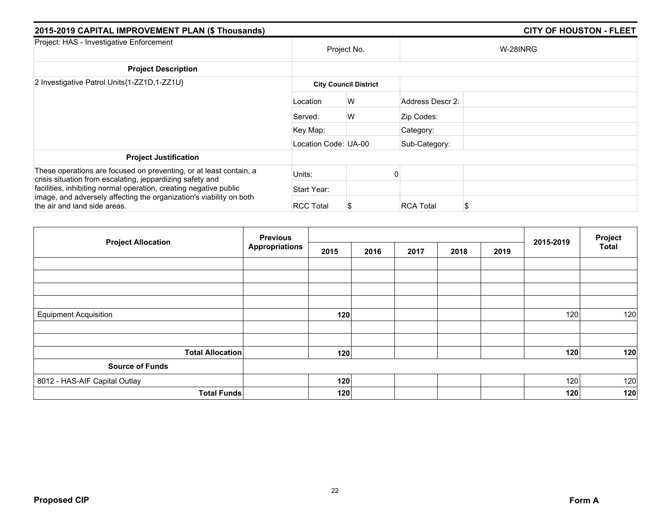| 2015-2019 CAPITAL IMPROVEMENT PLAN (\$ Thousands)                                                                               |                      |                              |                  | <b>CITY OF HOUSTON - FLEET</b> |  |  |  |  |
|---------------------------------------------------------------------------------------------------------------------------------|----------------------|------------------------------|------------------|--------------------------------|--|--|--|--|
| Project: HAS - Investigative Enforcement                                                                                        |                      | Project No.                  |                  | W-28INRG                       |  |  |  |  |
| <b>Project Description</b>                                                                                                      |                      |                              |                  |                                |  |  |  |  |
| 2 Investigative Patrol Units{1-ZZ1D,1-ZZ1U}                                                                                     |                      | <b>City Council District</b> |                  |                                |  |  |  |  |
|                                                                                                                                 | Location             | W                            | Address Descr 2: |                                |  |  |  |  |
|                                                                                                                                 | Served:              | W                            | Zip Codes:       |                                |  |  |  |  |
|                                                                                                                                 | Key Map:             |                              | Category:        |                                |  |  |  |  |
|                                                                                                                                 | Location Code: UA-00 |                              | Sub-Category:    |                                |  |  |  |  |
| <b>Project Justification</b>                                                                                                    |                      |                              |                  |                                |  |  |  |  |
| These operations are focused on preventing, or at least contain, a<br>crisis situation from escalating, jeppardizing safety and | Units:               |                              |                  |                                |  |  |  |  |
| facilities, inhibiting normal operation, creating negative public                                                               | Start Year:          |                              |                  |                                |  |  |  |  |
| image, and adversely affecting the organization's viability on both<br>the air and land side areas.                             | <b>RCC Total</b>     |                              | <b>RCA Total</b> | S                              |  |  |  |  |

|                               | <b>Previous</b><br><b>Project Allocation</b> |      |      | 2015-2019 | Project |      |     |              |
|-------------------------------|----------------------------------------------|------|------|-----------|---------|------|-----|--------------|
|                               | <b>Appropriations</b>                        | 2015 | 2016 | 2017      | 2018    | 2019 |     | <b>Total</b> |
|                               |                                              |      |      |           |         |      |     |              |
|                               |                                              |      |      |           |         |      |     |              |
|                               |                                              |      |      |           |         |      |     |              |
|                               |                                              |      |      |           |         |      |     |              |
| <b>Equipment Acquisition</b>  |                                              | 120  |      |           |         |      | 120 | 120          |
|                               |                                              |      |      |           |         |      |     |              |
| <b>Total Allocation</b>       |                                              | 120  |      |           |         |      | 120 | 120          |
| <b>Source of Funds</b>        |                                              |      |      |           |         |      |     |              |
| 8012 - HAS-AIF Capital Outlay |                                              | 120  |      |           |         |      | 120 | 120          |
| <b>Total Funds</b>            |                                              | 120  |      |           |         |      | 120 | 120          |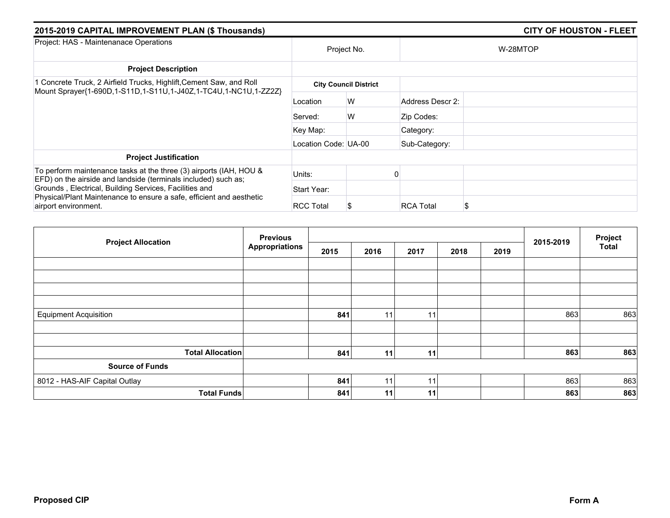| 2015-2019 CAPITAL IMPROVEMENT PLAN (\$ Thousands)                                                                                                      |                      |                              | <b>CITY OF HOUSTON - FLEET</b> |  |  |  |  |
|--------------------------------------------------------------------------------------------------------------------------------------------------------|----------------------|------------------------------|--------------------------------|--|--|--|--|
| Project: HAS - Maintenanace Operations                                                                                                                 | Project No.          |                              | W-28MTOP                       |  |  |  |  |
| <b>Project Description</b>                                                                                                                             |                      |                              |                                |  |  |  |  |
| 1 Concrete Truck, 2 Airfield Trucks, Highlift, Cement Saw, and Roll<br>Mount Sprayer{1-690D,1-S11D,1-S11U,1-J40Z,1-TC4U,1-NC1U,1-ZZ2Z}                 |                      | <b>City Council District</b> |                                |  |  |  |  |
|                                                                                                                                                        | Location             | W                            | Address Descr 2:               |  |  |  |  |
|                                                                                                                                                        | Served:              | W                            | Zip Codes:                     |  |  |  |  |
|                                                                                                                                                        | Key Map:             |                              | Category:                      |  |  |  |  |
|                                                                                                                                                        | Location Code: UA-00 |                              | Sub-Category:                  |  |  |  |  |
| <b>Project Justification</b>                                                                                                                           |                      |                              |                                |  |  |  |  |
| To perform maintenance tasks at the three (3) airports (IAH, HOU &<br>EFD) on the airside and landside (terminals included) such as:                   | Units:               |                              |                                |  |  |  |  |
| Grounds, Electrical, Building Services, Facilities and<br>Physical/Plant Maintenance to ensure a safe, efficient and aesthetic<br>airport environment. | Start Year:          |                              |                                |  |  |  |  |
|                                                                                                                                                        | <b>RCC Total</b>     |                              | <b>RCA Total</b><br>\$         |  |  |  |  |

| <b>Project Allocation</b>     | <b>Previous</b>       |      |                 |      |      |      | 2015-2019 | Project      |
|-------------------------------|-----------------------|------|-----------------|------|------|------|-----------|--------------|
|                               | <b>Appropriations</b> | 2015 | 2016            | 2017 | 2018 | 2019 |           | <b>Total</b> |
|                               |                       |      |                 |      |      |      |           |              |
|                               |                       |      |                 |      |      |      |           |              |
|                               |                       |      |                 |      |      |      |           |              |
|                               |                       |      |                 |      |      |      |           |              |
| <b>Equipment Acquisition</b>  |                       | 841  | 11              | 11   |      |      | 863       | 863          |
|                               |                       |      |                 |      |      |      |           |              |
|                               |                       |      |                 |      |      |      |           |              |
| <b>Total Allocation</b>       |                       | 841  | 11 <sub>1</sub> | 11   |      |      | 863       | 863          |
| <b>Source of Funds</b>        |                       |      |                 |      |      |      |           |              |
| 8012 - HAS-AIF Capital Outlay |                       | 841  | 11              | 11   |      |      | 863       | 863          |
| <b>Total Funds</b>            |                       | 841  | 11 <sub>1</sub> | 11   |      |      | 863       | 863          |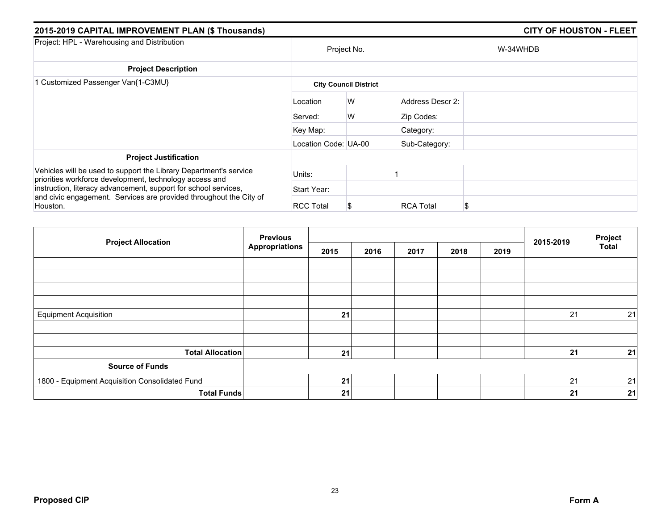| 2015-2019 CAPITAL IMPROVEMENT PLAN (\$ Thousands)                                                                            |                      |                              |                  | <b>CITY OF HOUSTON - FLEET</b> |
|------------------------------------------------------------------------------------------------------------------------------|----------------------|------------------------------|------------------|--------------------------------|
| Project: HPL - Warehousing and Distribution                                                                                  |                      | Project No.                  |                  | W-34WHDB                       |
| <b>Project Description</b>                                                                                                   |                      |                              |                  |                                |
| 1 Customized Passenger Van{1-C3MU}                                                                                           |                      | <b>City Council District</b> |                  |                                |
|                                                                                                                              | Location             | W                            | Address Descr 2: |                                |
|                                                                                                                              | Served:              | W                            | Zip Codes:       |                                |
|                                                                                                                              | Key Map:             |                              | Category:        |                                |
|                                                                                                                              | Location Code: UA-00 |                              | Sub-Category:    |                                |
| <b>Project Justification</b>                                                                                                 |                      |                              |                  |                                |
| Vehicles will be used to support the Library Department's service<br>priorities workforce development, technology access and | Units:               |                              |                  |                                |
| instruction, literacy advancement, support for school services,                                                              | Start Year:          |                              |                  |                                |
| and civic engagement. Services are provided throughout the City of<br>Houston.                                               | <b>RCC Total</b>     |                              | <b>RCA Total</b> | \$                             |

| <b>Project Allocation</b>                      | <b>Previous</b>       |      |      |      | 2015-2019 | Project |    |              |
|------------------------------------------------|-----------------------|------|------|------|-----------|---------|----|--------------|
|                                                | <b>Appropriations</b> | 2015 | 2016 | 2017 | 2018      | 2019    |    | <b>Total</b> |
|                                                |                       |      |      |      |           |         |    |              |
|                                                |                       |      |      |      |           |         |    |              |
|                                                |                       |      |      |      |           |         |    |              |
|                                                |                       |      |      |      |           |         |    |              |
| <b>Equipment Acquisition</b>                   |                       | 21   |      |      |           |         | 21 | 21           |
|                                                |                       |      |      |      |           |         |    |              |
| <b>Total Allocation</b>                        |                       | 21   |      |      |           |         | 21 | 21           |
| <b>Source of Funds</b>                         |                       |      |      |      |           |         |    |              |
| 1800 - Equipment Acquisition Consolidated Fund |                       | 21   |      |      |           |         | 21 | 21           |
| <b>Total Funds</b>                             |                       | 21   |      |      |           |         | 21 | 21           |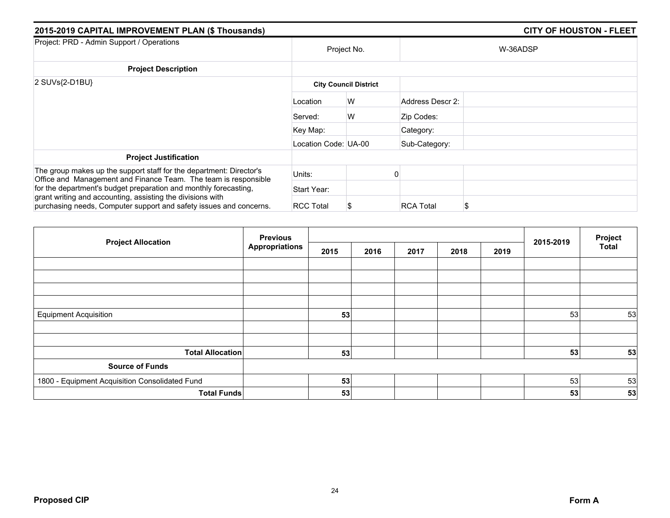| 2015-2019 CAPITAL IMPROVEMENT PLAN (\$ Thousands)                                                                                      |                              |             |                  | <b>CITY OF HOUSTON - FLEET</b> |  |  |  |  |
|----------------------------------------------------------------------------------------------------------------------------------------|------------------------------|-------------|------------------|--------------------------------|--|--|--|--|
| Project: PRD - Admin Support / Operations                                                                                              |                              | Project No. |                  | W-36ADSP                       |  |  |  |  |
| <b>Project Description</b>                                                                                                             |                              |             |                  |                                |  |  |  |  |
| $2$ SUVs $\{2-D1BU\}$                                                                                                                  | <b>City Council District</b> |             |                  |                                |  |  |  |  |
|                                                                                                                                        | Location                     | W           | Address Descr 2: |                                |  |  |  |  |
|                                                                                                                                        | Served:                      | W           | Zip Codes:       |                                |  |  |  |  |
|                                                                                                                                        | Key Map:                     |             | Category:        |                                |  |  |  |  |
|                                                                                                                                        | Location Code: UA-00         |             | Sub-Category:    |                                |  |  |  |  |
| <b>Project Justification</b>                                                                                                           |                              |             |                  |                                |  |  |  |  |
| The group makes up the support staff for the department: Director's<br>Office and Management and Finance Team. The team is responsible | Units:                       |             |                  |                                |  |  |  |  |
| for the department's budget preparation and monthly forecasting,                                                                       | Start Year:                  |             |                  |                                |  |  |  |  |
| grant writing and accounting, assisting the divisions with<br>purchasing needs, Computer support and safety issues and concerns.       | <b>RCC Total</b>             |             | <b>RCA Total</b> | S                              |  |  |  |  |

| <b>Project Allocation</b>                      | <b>Previous</b>       |      |      |      | 2015-2019 | Project |    |              |
|------------------------------------------------|-----------------------|------|------|------|-----------|---------|----|--------------|
|                                                | <b>Appropriations</b> | 2015 | 2016 | 2017 | 2018      | 2019    |    | <b>Total</b> |
|                                                |                       |      |      |      |           |         |    |              |
|                                                |                       |      |      |      |           |         |    |              |
|                                                |                       |      |      |      |           |         |    |              |
|                                                |                       |      |      |      |           |         |    |              |
| <b>Equipment Acquisition</b>                   |                       | 53   |      |      |           |         | 53 | 53           |
|                                                |                       |      |      |      |           |         |    |              |
| <b>Total Allocation</b>                        |                       |      |      |      |           |         | 53 |              |
|                                                |                       | 53   |      |      |           |         |    | 53           |
| <b>Source of Funds</b>                         |                       |      |      |      |           |         |    |              |
| 1800 - Equipment Acquisition Consolidated Fund |                       | 53   |      |      |           |         | 53 | 53           |
| <b>Total Funds</b>                             |                       | 53   |      |      |           |         | 53 | 53           |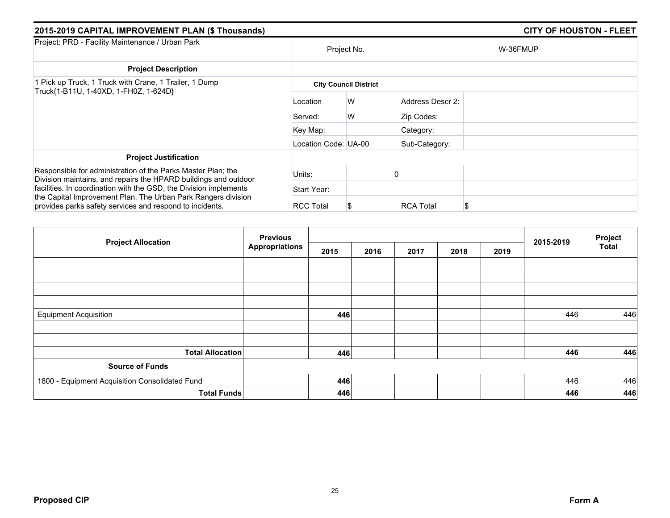| 2015-2019 CAPITAL IMPROVEMENT PLAN (\$ Thousands)                                                                               |                      |                              |                  | <b>CITY OF HOUSTON - FLEET</b> |
|---------------------------------------------------------------------------------------------------------------------------------|----------------------|------------------------------|------------------|--------------------------------|
| Project: PRD - Facility Maintenance / Urban Park                                                                                |                      | Project No.                  |                  | W-36FMUP                       |
| <b>Project Description</b>                                                                                                      |                      |                              |                  |                                |
| 1 Pick up Truck, 1 Truck with Crane, 1 Trailer, 1 Dump<br>Truck{1-B11U, 1-40XD, 1-FH0Z, 1-624D}                                 |                      | <b>City Council District</b> |                  |                                |
|                                                                                                                                 | Location             | W                            | Address Descr 2: |                                |
|                                                                                                                                 | Served:              | W                            | Zip Codes:       |                                |
|                                                                                                                                 | Key Map:             |                              | Category:        |                                |
|                                                                                                                                 | Location Code: UA-00 |                              | Sub-Category:    |                                |
| <b>Project Justification</b>                                                                                                    |                      |                              |                  |                                |
| Responsible for administration of the Parks Master Plan; the<br>Division maintains, and repairs the HPARD buildings and outdoor | Units:               |                              |                  |                                |
| facilities. In coordination with the GSD, the Division implements                                                               | Start Year:          |                              |                  |                                |
| the Capital Improvement Plan. The Urban Park Rangers division<br>provides parks safety services and respond to incidents.       | <b>RCC Total</b>     | S                            | <b>RCA Total</b> | S                              |

| <b>Project Allocation</b>                      | <b>Previous</b>       |      |      |      | 2015-2019 | Project |     |              |
|------------------------------------------------|-----------------------|------|------|------|-----------|---------|-----|--------------|
|                                                | <b>Appropriations</b> | 2015 | 2016 | 2017 | 2018      | 2019    |     | <b>Total</b> |
|                                                |                       |      |      |      |           |         |     |              |
|                                                |                       |      |      |      |           |         |     |              |
|                                                |                       |      |      |      |           |         |     |              |
|                                                |                       |      |      |      |           |         |     |              |
| <b>Equipment Acquisition</b>                   |                       | 446  |      |      |           |         | 446 | 446          |
|                                                |                       |      |      |      |           |         |     |              |
|                                                |                       |      |      |      |           |         |     |              |
| <b>Total Allocation</b>                        |                       | 446  |      |      |           |         | 446 | 446          |
| <b>Source of Funds</b>                         |                       |      |      |      |           |         |     |              |
| 1800 - Equipment Acquisition Consolidated Fund |                       | 446  |      |      |           |         | 446 | 446          |
| <b>Total Funds</b>                             |                       | 446  |      |      |           |         | 446 | 446          |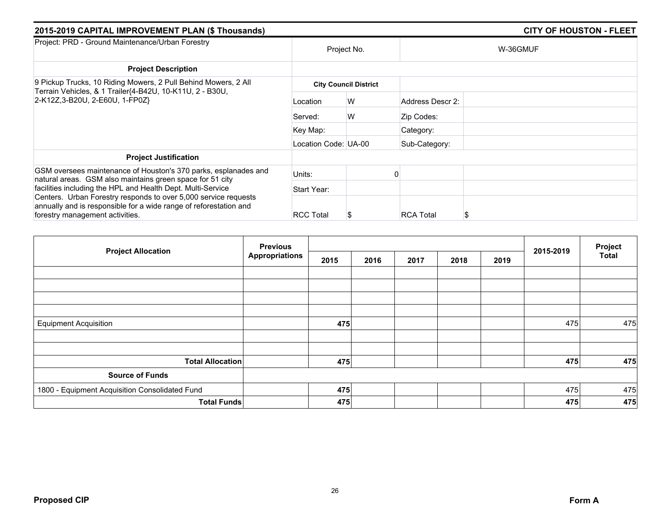| 2015-2019 CAPITAL IMPROVEMENT PLAN (\$ Thousands)                                                                                                                       |                      |                              |                  | <b>CITY OF HOUSTON - FLEET</b> |
|-------------------------------------------------------------------------------------------------------------------------------------------------------------------------|----------------------|------------------------------|------------------|--------------------------------|
| Project: PRD - Ground Maintenance/Urban Forestry                                                                                                                        |                      | Project No.                  | W-36GMUF         |                                |
| <b>Project Description</b>                                                                                                                                              |                      |                              |                  |                                |
| 9 Pickup Trucks, 10 Riding Mowers, 2 Pull Behind Mowers, 2 All<br>Terrain Vehicles, & 1 Trailer{4-B42U, 10-K11U, 2 - B30U,<br>2-K12Z, 3-B20U, 2-E60U, 1-FP0Z}           |                      | <b>City Council District</b> |                  |                                |
|                                                                                                                                                                         | Location             | W                            | Address Descr 2: |                                |
|                                                                                                                                                                         | Served:              | W                            | Zip Codes:       |                                |
|                                                                                                                                                                         | Key Map:             |                              | Category:        |                                |
|                                                                                                                                                                         | Location Code: UA-00 |                              | Sub-Category:    |                                |
| <b>Project Justification</b>                                                                                                                                            |                      |                              |                  |                                |
| GSM oversees maintenance of Houston's 370 parks, esplanades and                                                                                                         | Units:               |                              |                  |                                |
| natural areas. GSM also maintains green space for 51 city<br>facilities including the HPL and Health Dept. Multi-Service                                                | Start Year:          |                              |                  |                                |
| Centers. Urban Forestry responds to over 5,000 service requests<br>annually and is responsible for a wide range of reforestation and<br>forestry management activities. | <b>RCC Total</b>     | S                            | <b>RCA Total</b> |                                |

| <b>Project Allocation</b>                      | <b>Previous</b>       |      |      |      |      | 2015-2019 | Project |              |
|------------------------------------------------|-----------------------|------|------|------|------|-----------|---------|--------------|
|                                                | <b>Appropriations</b> | 2015 | 2016 | 2017 | 2018 | 2019      |         | <b>Total</b> |
|                                                |                       |      |      |      |      |           |         |              |
|                                                |                       |      |      |      |      |           |         |              |
|                                                |                       |      |      |      |      |           |         |              |
|                                                |                       |      |      |      |      |           |         |              |
| <b>Equipment Acquisition</b>                   |                       | 475  |      |      |      |           | 475     | 475          |
|                                                |                       |      |      |      |      |           |         |              |
|                                                |                       |      |      |      |      |           |         |              |
| <b>Total Allocation</b>                        |                       | 475  |      |      |      |           | 475     | 475          |
| <b>Source of Funds</b>                         |                       |      |      |      |      |           |         |              |
| 1800 - Equipment Acquisition Consolidated Fund |                       | 475  |      |      |      |           | 475     | 475          |
| <b>Total Funds</b>                             |                       | 475  |      |      |      |           | 475     | 475          |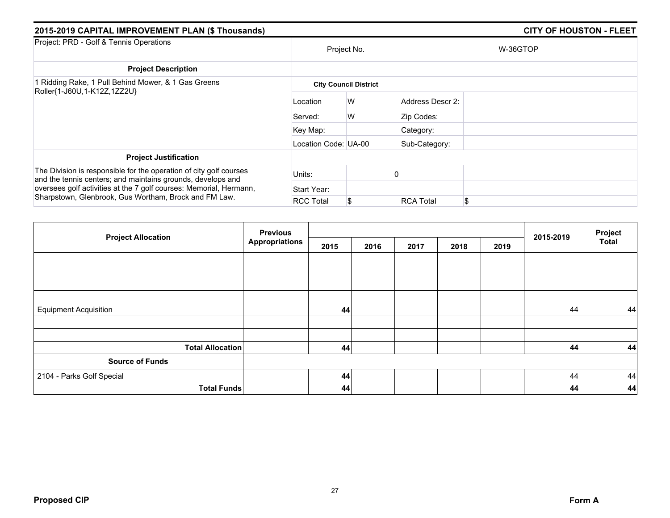| 2015-2019 CAPITAL IMPROVEMENT PLAN (\$ Thousands)                                                                                 |                      |                              |                  | <b>CITY OF HOUSTON - FLEET</b> |  |  |  |  |
|-----------------------------------------------------------------------------------------------------------------------------------|----------------------|------------------------------|------------------|--------------------------------|--|--|--|--|
| Project: PRD - Golf & Tennis Operations                                                                                           |                      | Project No.                  |                  | W-36GTOP                       |  |  |  |  |
| <b>Project Description</b>                                                                                                        |                      |                              |                  |                                |  |  |  |  |
| 1 Ridding Rake, 1 Pull Behind Mower, & 1 Gas Greens                                                                               |                      | <b>City Council District</b> |                  |                                |  |  |  |  |
| Roller{1-J60U,1-K12Z,1ZZ2U}                                                                                                       | Location             | W                            | Address Descr 2: |                                |  |  |  |  |
|                                                                                                                                   | Served:              | W                            | Zip Codes:       |                                |  |  |  |  |
|                                                                                                                                   | Key Map:             |                              | Category:        |                                |  |  |  |  |
|                                                                                                                                   | Location Code: UA-00 |                              | Sub-Category:    |                                |  |  |  |  |
| <b>Project Justification</b>                                                                                                      |                      |                              |                  |                                |  |  |  |  |
| The Division is responsible for the operation of city golf courses<br>and the tennis centers; and maintains grounds, develops and | Units:               |                              |                  |                                |  |  |  |  |
| oversees golf activities at the 7 golf courses: Memorial, Hermann,                                                                | Start Year:          |                              |                  |                                |  |  |  |  |
| Sharpstown, Glenbrook, Gus Wortham, Brock and FM Law.                                                                             | <b>RCC Total</b>     | S                            | <b>RCA Total</b> | \$                             |  |  |  |  |

| <b>Project Allocation</b>    | <b>Previous</b>       |      |      |      |      | 2015-2019 | Project |              |
|------------------------------|-----------------------|------|------|------|------|-----------|---------|--------------|
|                              | <b>Appropriations</b> | 2015 | 2016 | 2017 | 2018 | 2019      |         | <b>Total</b> |
|                              |                       |      |      |      |      |           |         |              |
|                              |                       |      |      |      |      |           |         |              |
|                              |                       |      |      |      |      |           |         |              |
|                              |                       |      |      |      |      |           |         |              |
| <b>Equipment Acquisition</b> |                       | 44   |      |      |      |           | 44      | 44           |
|                              |                       |      |      |      |      |           |         |              |
|                              |                       |      |      |      |      |           |         |              |
| <b>Total Allocation</b>      |                       | 44   |      |      |      |           | 44      | 44           |
| <b>Source of Funds</b>       |                       |      |      |      |      |           |         |              |
| 2104 - Parks Golf Special    |                       | 44   |      |      |      |           | 44      | 44           |
| <b>Total Funds</b>           |                       | 44   |      |      |      |           | 44      | 44           |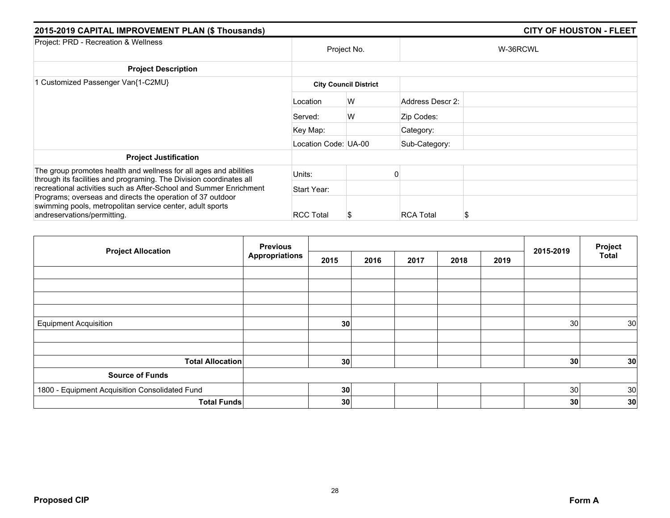| 2015-2019 CAPITAL IMPROVEMENT PLAN (\$ Thousands)                                                                                                      |                      |                              |                  | <b>CITY OF HOUSTON - FLEET</b> |
|--------------------------------------------------------------------------------------------------------------------------------------------------------|----------------------|------------------------------|------------------|--------------------------------|
| Project: PRD - Recreation & Wellness                                                                                                                   | Project No.          |                              |                  | W-36RCWL                       |
| <b>Project Description</b>                                                                                                                             |                      |                              |                  |                                |
| 1 Customized Passenger Van{1-C2MU}                                                                                                                     |                      | <b>City Council District</b> |                  |                                |
|                                                                                                                                                        | Location             | W                            | Address Descr 2: |                                |
|                                                                                                                                                        | Served:              | W                            | Zip Codes:       |                                |
|                                                                                                                                                        | Key Map:             |                              | Category:        |                                |
|                                                                                                                                                        | Location Code: UA-00 |                              | Sub-Category:    |                                |
| <b>Project Justification</b>                                                                                                                           |                      |                              |                  |                                |
| The group promotes health and wellness for all ages and abilities<br>through its facilities and programing. The Division coordinates all               | Units:               |                              |                  |                                |
| recreational activities such as After-School and Summer Enrichment                                                                                     | Start Year:          |                              |                  |                                |
| Programs; overseas and directs the operation of 37 outdoor<br>swimming pools, metropolitan service center, adult sports<br>andreservations/permitting. | <b>RCC Total</b>     | Ъ                            | <b>RCA Total</b> | S                              |

|                                                | <b>Previous</b>       |      |      |      |      | 2015-2019 | Project |              |
|------------------------------------------------|-----------------------|------|------|------|------|-----------|---------|--------------|
| <b>Project Allocation</b>                      | <b>Appropriations</b> | 2015 | 2016 | 2017 | 2018 | 2019      |         | <b>Total</b> |
|                                                |                       |      |      |      |      |           |         |              |
|                                                |                       |      |      |      |      |           |         |              |
|                                                |                       |      |      |      |      |           |         |              |
|                                                |                       |      |      |      |      |           |         |              |
| <b>Equipment Acquisition</b>                   |                       | 30   |      |      |      |           | 30      | 30           |
|                                                |                       |      |      |      |      |           |         |              |
|                                                |                       |      |      |      |      |           |         |              |
| <b>Total Allocation</b>                        |                       | 30   |      |      |      |           | 30      | 30           |
| <b>Source of Funds</b>                         |                       |      |      |      |      |           |         |              |
| 1800 - Equipment Acquisition Consolidated Fund |                       | 30   |      |      |      |           | 30      | 30           |
| <b>Total Funds</b>                             |                       | 30   |      |      |      |           | 30      | 30           |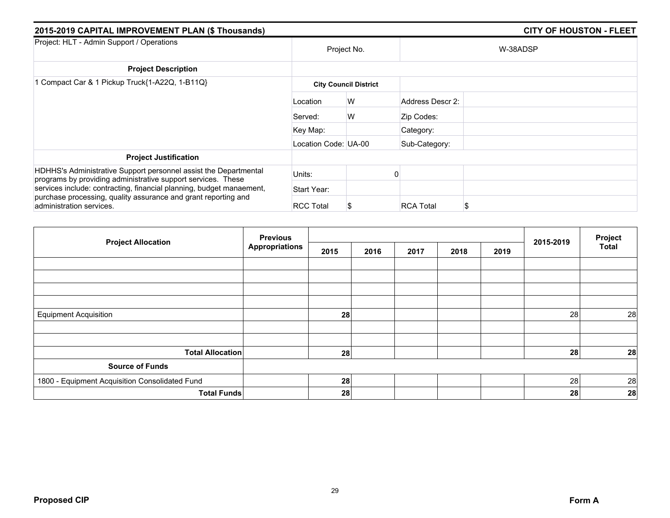| 2015-2019 CAPITAL IMPROVEMENT PLAN (\$ Thousands)                                                                                |                      | <b>CITY OF HOUSTON - FLEET</b> |                  |          |  |  |
|----------------------------------------------------------------------------------------------------------------------------------|----------------------|--------------------------------|------------------|----------|--|--|
| Project: HLT - Admin Support / Operations                                                                                        |                      | Project No.                    |                  | W-38ADSP |  |  |
| <b>Project Description</b>                                                                                                       |                      |                                |                  |          |  |  |
| 1 Compact Car & 1 Pickup Truck{1-A22Q, 1-B11Q}                                                                                   |                      | <b>City Council District</b>   |                  |          |  |  |
|                                                                                                                                  | Location             | W                              | Address Descr 2: |          |  |  |
|                                                                                                                                  | Served:              | W                              | Zip Codes:       |          |  |  |
|                                                                                                                                  | Key Map:             |                                | Category:        |          |  |  |
|                                                                                                                                  | Location Code: UA-00 |                                | Sub-Category:    |          |  |  |
| <b>Project Justification</b>                                                                                                     |                      |                                |                  |          |  |  |
| HDHHS's Administrative Support personnel assist the Departmental<br>programs by providing administrative support services. These | Units:               |                                |                  |          |  |  |
| services include: contracting, financial planning, budget manaement,                                                             | Start Year:          |                                |                  |          |  |  |
| purchase processing, quality assurance and grant reporting and<br>administration services.                                       | <b>RCC Total</b>     |                                | <b>RCA Total</b> | S        |  |  |

| <b>Project Allocation</b>                      | <b>Previous</b>       |      |      |      |      | Project |           |              |
|------------------------------------------------|-----------------------|------|------|------|------|---------|-----------|--------------|
|                                                | <b>Appropriations</b> | 2015 | 2016 | 2017 | 2018 | 2019    | 2015-2019 | <b>Total</b> |
|                                                |                       |      |      |      |      |         |           |              |
|                                                |                       |      |      |      |      |         |           |              |
|                                                |                       |      |      |      |      |         |           |              |
|                                                |                       |      |      |      |      |         |           |              |
| <b>Equipment Acquisition</b>                   |                       | 28   |      |      |      |         | 28        | 28           |
|                                                |                       |      |      |      |      |         |           |              |
| <b>Total Allocation</b>                        |                       | 28   |      |      |      |         | 28        | 28           |
| <b>Source of Funds</b>                         |                       |      |      |      |      |         |           |              |
| 1800 - Equipment Acquisition Consolidated Fund |                       | 28   |      |      |      |         | 28        | 28           |
| <b>Total Funds</b>                             |                       | 28   |      |      |      |         | 28        | 28           |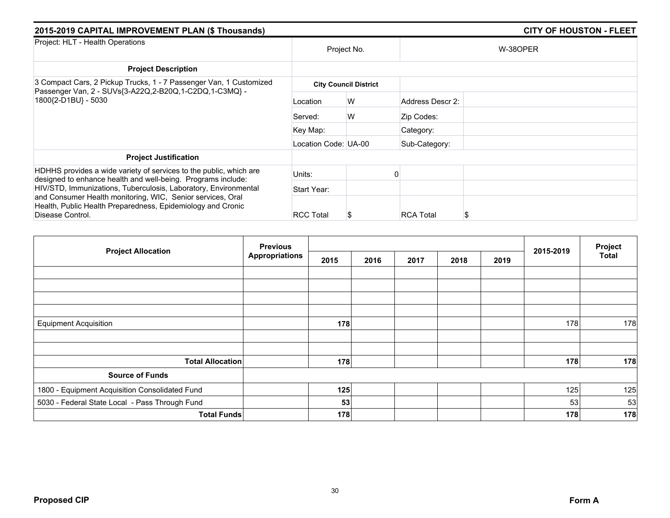| 2015-2019 CAPITAL IMPROVEMENT PLAN (\$ Thousands)                                                                                                                                                                |                      | <b>CITY OF HOUSTON - FLEET</b> |                  |          |  |
|------------------------------------------------------------------------------------------------------------------------------------------------------------------------------------------------------------------|----------------------|--------------------------------|------------------|----------|--|
| Project: HLT - Health Operations                                                                                                                                                                                 |                      | Project No.                    |                  | W-38OPER |  |
| <b>Project Description</b>                                                                                                                                                                                       |                      |                                |                  |          |  |
| 3 Compact Cars, 2 Pickup Trucks, 1 - 7 Passenger Van, 1 Customized<br>Passenger Van, 2 - SUVs{3-A22Q,2-B20Q,1-C2DQ,1-C3MQ} -                                                                                     |                      | <b>City Council District</b>   |                  |          |  |
| 1800{2-D1BU} - 5030                                                                                                                                                                                              | Location             | W                              | Address Descr 2: |          |  |
|                                                                                                                                                                                                                  | Served:              | W                              | Zip Codes:       |          |  |
|                                                                                                                                                                                                                  | Key Map:             |                                | Category:        |          |  |
|                                                                                                                                                                                                                  | Location Code: UA-00 |                                | Sub-Category:    |          |  |
| <b>Project Justification</b>                                                                                                                                                                                     |                      |                                |                  |          |  |
| HDHHS provides a wide variety of services to the public, which are<br>designed to enhance health and well-being. Programs include:                                                                               | Units:               |                                |                  |          |  |
| HIV/STD, Immunizations, Tuberculosis, Laboratory, Environmental<br>and Consumer Health monitoring, WIC, Senior services, Oral<br>Health, Public Health Preparedness, Epidemiology and Cronic<br>Disease Control. | Start Year:          |                                |                  |          |  |
|                                                                                                                                                                                                                  | <b>RCC Total</b>     | S                              | <b>RCA Total</b> |          |  |

| <b>Project Allocation</b>                      | <b>Previous</b>       |      |      |      | 2015-2019 | Project |     |              |
|------------------------------------------------|-----------------------|------|------|------|-----------|---------|-----|--------------|
|                                                | <b>Appropriations</b> | 2015 | 2016 | 2017 | 2018      | 2019    |     | <b>Total</b> |
|                                                |                       |      |      |      |           |         |     |              |
|                                                |                       |      |      |      |           |         |     |              |
|                                                |                       |      |      |      |           |         |     |              |
|                                                |                       |      |      |      |           |         |     |              |
| <b>Equipment Acquisition</b>                   |                       | 178  |      |      |           |         | 178 | 178          |
|                                                |                       |      |      |      |           |         |     |              |
| <b>Total Allocation</b>                        |                       | 178  |      |      |           |         | 178 | 178          |
| <b>Source of Funds</b>                         |                       |      |      |      |           |         |     |              |
| 1800 - Equipment Acquisition Consolidated Fund |                       | 125  |      |      |           |         | 125 | 125          |
| 5030 - Federal State Local - Pass Through Fund |                       | 53   |      |      |           |         | 53  | 53           |
| <b>Total Funds</b>                             |                       | 178  |      |      |           |         | 178 | 178          |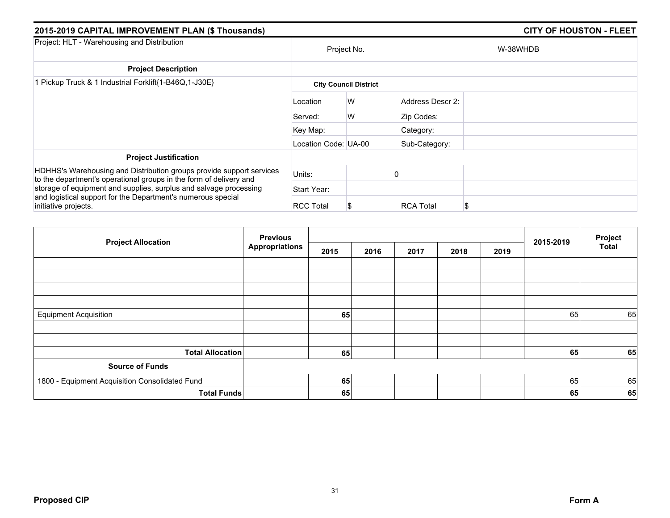| 2015-2019 CAPITAL IMPROVEMENT PLAN (\$ Thousands)                                                                                                         |                      | <b>CITY OF HOUSTON - FLEET</b> |                  |   |  |
|-----------------------------------------------------------------------------------------------------------------------------------------------------------|----------------------|--------------------------------|------------------|---|--|
| Project: HLT - Warehousing and Distribution                                                                                                               | Project No.          |                                | W-38WHDB         |   |  |
| <b>Project Description</b>                                                                                                                                |                      |                                |                  |   |  |
| 1 Pickup Truck & 1 Industrial Forklift{1-B46Q,1-J30E}                                                                                                     |                      | <b>City Council District</b>   |                  |   |  |
|                                                                                                                                                           | Location             | W                              | Address Descr 2: |   |  |
|                                                                                                                                                           | Served:              | W                              | Zip Codes:       |   |  |
|                                                                                                                                                           | Key Map:             |                                | Category:        |   |  |
|                                                                                                                                                           | Location Code: UA-00 |                                | Sub-Category:    |   |  |
| <b>Project Justification</b>                                                                                                                              |                      |                                |                  |   |  |
| HDHHS's Warehousing and Distribution groups provide support services<br>to the department's operational groups in the form of delivery and                | Units:               |                                |                  |   |  |
| storage of equipment and supplies, surplus and salvage processing<br>and logistical support for the Department's numerous special<br>initiative projects. | Start Year:          |                                |                  |   |  |
|                                                                                                                                                           | <b>RCC Total</b>     |                                | <b>RCA Total</b> | S |  |

| <b>Project Allocation</b>                      | <b>Previous</b>       |      |      |      |      |      |           | Project      |
|------------------------------------------------|-----------------------|------|------|------|------|------|-----------|--------------|
|                                                | <b>Appropriations</b> | 2015 | 2016 | 2017 | 2018 | 2019 | 2015-2019 | <b>Total</b> |
|                                                |                       |      |      |      |      |      |           |              |
|                                                |                       |      |      |      |      |      |           |              |
|                                                |                       |      |      |      |      |      |           |              |
|                                                |                       |      |      |      |      |      |           |              |
| <b>Equipment Acquisition</b>                   |                       | 65   |      |      |      |      | 65        | 65           |
|                                                |                       |      |      |      |      |      |           |              |
| <b>Total Allocation</b>                        |                       | 65   |      |      |      |      | 65        | 65           |
| <b>Source of Funds</b>                         |                       |      |      |      |      |      |           |              |
| 1800 - Equipment Acquisition Consolidated Fund |                       | 65   |      |      |      |      | 65        | 65           |
| <b>Total Funds</b>                             |                       | 65   |      |      |      |      | 65        | 65           |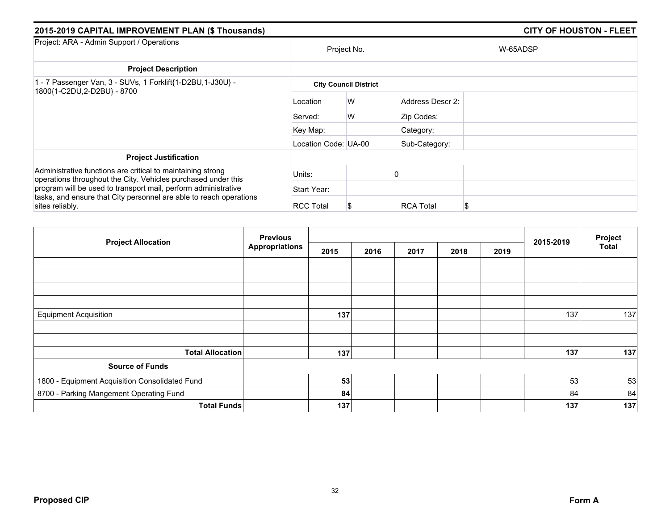| 2015-2019 CAPITAL IMPROVEMENT PLAN (\$ Thousands)                                                                            |                      |                              |                  | <b>CITY OF HOUSTON - FLEET</b> |  |  |  |  |  |
|------------------------------------------------------------------------------------------------------------------------------|----------------------|------------------------------|------------------|--------------------------------|--|--|--|--|--|
| Project: ARA - Admin Support / Operations                                                                                    |                      | Project No.                  |                  | W-65ADSP                       |  |  |  |  |  |
| <b>Project Description</b>                                                                                                   |                      |                              |                  |                                |  |  |  |  |  |
| 1 - 7 Passenger Van, 3 - SUVs, 1 Forklift{1-D2BU,1-J30U} -<br>1800{1-C2DU,2-D2BU} - 8700                                     |                      | <b>City Council District</b> |                  |                                |  |  |  |  |  |
|                                                                                                                              | Location             | W                            | Address Descr 2: |                                |  |  |  |  |  |
|                                                                                                                              | Served:              | W                            | Zip Codes:       |                                |  |  |  |  |  |
|                                                                                                                              | Key Map:             |                              | Category:        |                                |  |  |  |  |  |
|                                                                                                                              | Location Code: UA-00 |                              | Sub-Category:    |                                |  |  |  |  |  |
| <b>Project Justification</b>                                                                                                 |                      |                              |                  |                                |  |  |  |  |  |
| Administrative functions are critical to maintaining strong<br>operations throughout the City. Vehicles purchased under this | Units:               |                              |                  |                                |  |  |  |  |  |
| program will be used to transport mail, perform administrative                                                               | Start Year:          |                              |                  |                                |  |  |  |  |  |
| tasks, and ensure that City personnel are able to reach operations<br>sites reliably.                                        | <b>RCC Total</b>     |                              | <b>RCA Total</b> | \$                             |  |  |  |  |  |

| <b>Project Allocation</b>                      | <b>Previous</b>       |      |      |      | 2015-2019 | Project |     |              |
|------------------------------------------------|-----------------------|------|------|------|-----------|---------|-----|--------------|
|                                                | <b>Appropriations</b> | 2015 | 2016 | 2017 | 2018      | 2019    |     | <b>Total</b> |
|                                                |                       |      |      |      |           |         |     |              |
|                                                |                       |      |      |      |           |         |     |              |
|                                                |                       |      |      |      |           |         |     |              |
|                                                |                       |      |      |      |           |         |     |              |
| <b>Equipment Acquisition</b>                   |                       | 137  |      |      |           |         | 137 | 137          |
|                                                |                       |      |      |      |           |         |     |              |
| <b>Total Allocation</b>                        |                       | 137  |      |      |           |         | 137 | 137          |
| <b>Source of Funds</b>                         |                       |      |      |      |           |         |     |              |
| 1800 - Equipment Acquisition Consolidated Fund |                       | 53   |      |      |           |         | 53  | 53           |
| 8700 - Parking Mangement Operating Fund        |                       | 84   |      |      |           |         | 84  | 84           |
| <b>Total Funds</b>                             |                       | 137  |      |      |           |         | 137 | 137          |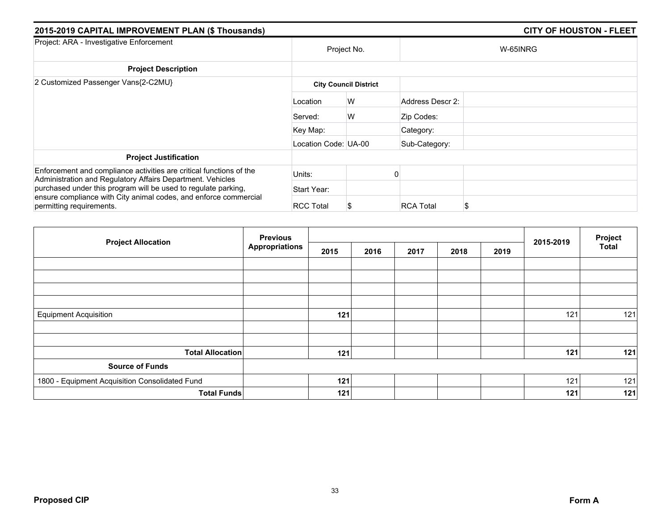| 2015-2019 CAPITAL IMPROVEMENT PLAN (\$ Thousands)                                                                                 | <b>CITY OF HOUSTON - FLEET</b> |                              |                  |          |
|-----------------------------------------------------------------------------------------------------------------------------------|--------------------------------|------------------------------|------------------|----------|
| Project: ARA - Investigative Enforcement                                                                                          |                                | Project No.                  |                  | W-65INRG |
| <b>Project Description</b>                                                                                                        |                                |                              |                  |          |
| 2 Customized Passenger Vans{2-C2MU}                                                                                               |                                | <b>City Council District</b> |                  |          |
|                                                                                                                                   | Location                       | W                            | Address Descr 2: |          |
|                                                                                                                                   | Served:                        | W                            | Zip Codes:       |          |
|                                                                                                                                   | Key Map:                       |                              | Category:        |          |
|                                                                                                                                   | Location Code: UA-00           |                              | Sub-Category:    |          |
| <b>Project Justification</b>                                                                                                      |                                |                              |                  |          |
| Enforcement and compliance activities are critical functions of the<br>Administration and Regulatory Affairs Department. Vehicles | Units:                         |                              |                  |          |
| purchased under this program will be used to regulate parking,                                                                    | Start Year:                    |                              |                  |          |
| ensure compliance with City animal codes, and enforce commercial<br>permitting requirements.                                      | <b>RCC Total</b>               |                              | <b>RCA Total</b> | S        |

|                                                | <b>Previous</b>       |      |      |      | Project |      |           |              |
|------------------------------------------------|-----------------------|------|------|------|---------|------|-----------|--------------|
| <b>Project Allocation</b>                      | <b>Appropriations</b> | 2015 | 2016 | 2017 | 2018    | 2019 | 2015-2019 | <b>Total</b> |
|                                                |                       |      |      |      |         |      |           |              |
|                                                |                       |      |      |      |         |      |           |              |
|                                                |                       |      |      |      |         |      |           |              |
|                                                |                       |      |      |      |         |      |           |              |
| <b>Equipment Acquisition</b>                   |                       | 121  |      |      |         |      | 121       | 121          |
|                                                |                       |      |      |      |         |      |           |              |
| <b>Total Allocation</b>                        |                       | 121  |      |      |         |      | 121       | 121          |
| <b>Source of Funds</b>                         |                       |      |      |      |         |      |           |              |
| 1800 - Equipment Acquisition Consolidated Fund |                       | 121  |      |      |         |      | 121       | 121          |
| <b>Total Funds</b>                             |                       | 121  |      |      |         |      | 121       | 121          |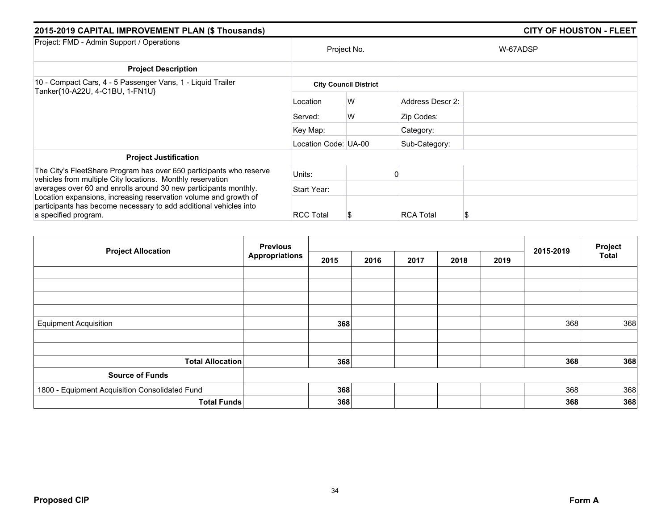| 2015-2019 CAPITAL IMPROVEMENT PLAN (\$ Thousands) |   |                                                                     |          |  |  |
|---------------------------------------------------|---|---------------------------------------------------------------------|----------|--|--|
|                                                   |   |                                                                     | W-67ADSP |  |  |
|                                                   |   |                                                                     |          |  |  |
|                                                   |   |                                                                     |          |  |  |
| Location                                          | W | Address Descr 2:                                                    |          |  |  |
| Served:                                           | W | Zip Codes:                                                          |          |  |  |
| Key Map:                                          |   | Category:                                                           |          |  |  |
|                                                   |   | Sub-Category:                                                       |          |  |  |
|                                                   |   |                                                                     |          |  |  |
| Units:                                            |   |                                                                     |          |  |  |
| Start Year:                                       |   |                                                                     |          |  |  |
| <b>RCC Total</b>                                  | S | <b>RCA Total</b>                                                    |          |  |  |
|                                                   |   | Project No.<br><b>City Council District</b><br>Location Code: UA-00 |          |  |  |

| <b>Project Allocation</b>                      | <b>Previous</b>       |      |      |      | 2015-2019 | Project |     |              |
|------------------------------------------------|-----------------------|------|------|------|-----------|---------|-----|--------------|
|                                                | <b>Appropriations</b> | 2015 | 2016 | 2017 | 2018      | 2019    |     | <b>Total</b> |
|                                                |                       |      |      |      |           |         |     |              |
|                                                |                       |      |      |      |           |         |     |              |
|                                                |                       |      |      |      |           |         |     |              |
|                                                |                       |      |      |      |           |         |     |              |
| <b>Equipment Acquisition</b>                   |                       | 368  |      |      |           |         | 368 | 368          |
|                                                |                       |      |      |      |           |         |     |              |
|                                                |                       |      |      |      |           |         |     |              |
| <b>Total Allocation</b>                        |                       | 368  |      |      |           |         | 368 | 368          |
| <b>Source of Funds</b>                         |                       |      |      |      |           |         |     |              |
| 1800 - Equipment Acquisition Consolidated Fund |                       | 368  |      |      |           |         | 368 | 368          |
| <b>Total Funds</b>                             |                       | 368  |      |      |           |         | 368 | 368          |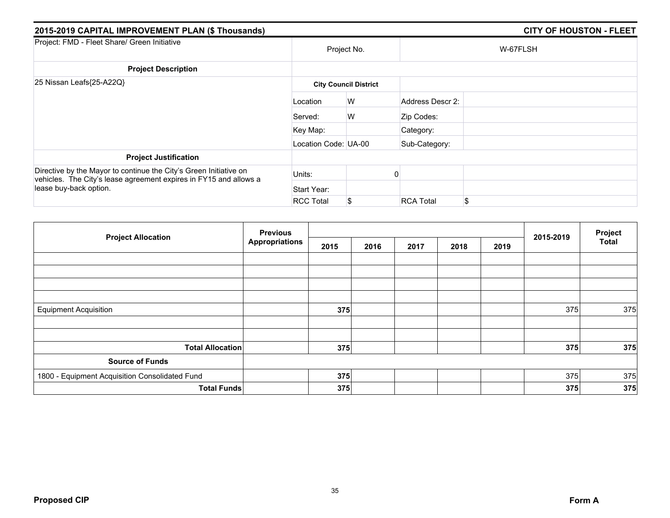| 2015-2019 CAPITAL IMPROVEMENT PLAN (\$ Thousands)                                                                                                                |                      |                              |                  | <b>CITY OF HOUSTON - FLEET</b> |  |  |  |  |
|------------------------------------------------------------------------------------------------------------------------------------------------------------------|----------------------|------------------------------|------------------|--------------------------------|--|--|--|--|
| Project: FMD - Fleet Share/ Green Initiative                                                                                                                     |                      | Project No.                  |                  | W-67FLSH                       |  |  |  |  |
| <b>Project Description</b>                                                                                                                                       |                      |                              |                  |                                |  |  |  |  |
| 25 Nissan Leafs{25-A22Q}                                                                                                                                         |                      | <b>City Council District</b> |                  |                                |  |  |  |  |
|                                                                                                                                                                  | Location             | W                            | Address Descr 2: |                                |  |  |  |  |
|                                                                                                                                                                  | Served:              | W                            | Zip Codes:       |                                |  |  |  |  |
|                                                                                                                                                                  | Key Map:             |                              | Category:        |                                |  |  |  |  |
|                                                                                                                                                                  | Location Code: UA-00 |                              | Sub-Category:    |                                |  |  |  |  |
| <b>Project Justification</b>                                                                                                                                     |                      |                              |                  |                                |  |  |  |  |
| Directive by the Mayor to continue the City's Green Initiative on<br>vehicles. The City's lease agreement expires in FY15 and allows a<br>lease buy-back option. | Units:               |                              |                  |                                |  |  |  |  |
|                                                                                                                                                                  | Start Year:          |                              |                  |                                |  |  |  |  |
|                                                                                                                                                                  | <b>RCC Total</b>     | S                            | <b>RCA Total</b> | \$                             |  |  |  |  |

| <b>Project Allocation</b>                      | <b>Previous</b>       |      |      |      | Project |      |           |              |
|------------------------------------------------|-----------------------|------|------|------|---------|------|-----------|--------------|
|                                                | <b>Appropriations</b> | 2015 | 2016 | 2017 | 2018    | 2019 | 2015-2019 | <b>Total</b> |
|                                                |                       |      |      |      |         |      |           |              |
|                                                |                       |      |      |      |         |      |           |              |
|                                                |                       |      |      |      |         |      |           |              |
| <b>Equipment Acquisition</b>                   |                       | 375  |      |      |         |      | 375       | 375          |
|                                                |                       |      |      |      |         |      |           |              |
|                                                |                       |      |      |      |         |      |           |              |
| <b>Total Allocation</b>                        |                       | 375  |      |      |         |      | 375       | 375          |
| <b>Source of Funds</b>                         |                       |      |      |      |         |      |           |              |
| 1800 - Equipment Acquisition Consolidated Fund |                       | 375  |      |      |         |      | 375       | 375          |
| <b>Total Funds</b>                             |                       | 375  |      |      |         |      | 375       | 375          |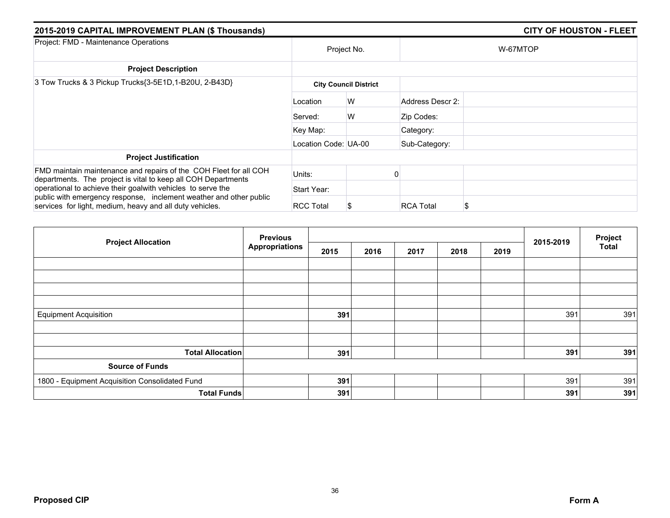| 2015-2019 CAPITAL IMPROVEMENT PLAN (\$ Thousands)                                                                                                                                                 | <b>CITY OF HOUSTON - FLEET</b> |                              |                  |          |  |
|---------------------------------------------------------------------------------------------------------------------------------------------------------------------------------------------------|--------------------------------|------------------------------|------------------|----------|--|
| Project: FMD - Maintenance Operations                                                                                                                                                             | Project No.                    |                              |                  | W-67MTOP |  |
| <b>Project Description</b>                                                                                                                                                                        |                                |                              |                  |          |  |
| 3 Tow Trucks & 3 Pickup Trucks{3-5E1D,1-B20U, 2-B43D}                                                                                                                                             |                                | <b>City Council District</b> |                  |          |  |
|                                                                                                                                                                                                   | Location                       | W                            | Address Descr 2: |          |  |
|                                                                                                                                                                                                   | Served:                        | W                            | Zip Codes:       |          |  |
|                                                                                                                                                                                                   | Key Map:                       |                              | Category:        |          |  |
|                                                                                                                                                                                                   | Location Code: UA-00           |                              | Sub-Category:    |          |  |
| <b>Project Justification</b>                                                                                                                                                                      |                                |                              |                  |          |  |
| FMD maintain maintenance and repairs of the COH Fleet for all COH<br>departments. The project is vital to keep all COH Departments<br>operational to achieve their goalwith vehicles to serve the | Units:                         |                              |                  |          |  |
|                                                                                                                                                                                                   | Start Year:                    |                              |                  |          |  |
| public with emergency response, inclement weather and other public<br>services for light, medium, heavy and all duty vehicles.                                                                    | <b>RCC Total</b>               |                              | <b>RCA Total</b> | S        |  |

| <b>Project Allocation</b>                      | <b>Previous</b>       |      |      |      |      |      |           | Project      |
|------------------------------------------------|-----------------------|------|------|------|------|------|-----------|--------------|
|                                                | <b>Appropriations</b> | 2015 | 2016 | 2017 | 2018 | 2019 | 2015-2019 | <b>Total</b> |
|                                                |                       |      |      |      |      |      |           |              |
|                                                |                       |      |      |      |      |      |           |              |
|                                                |                       |      |      |      |      |      |           |              |
| <b>Equipment Acquisition</b>                   |                       | 391  |      |      |      |      | 391       | 391          |
|                                                |                       |      |      |      |      |      |           |              |
|                                                |                       |      |      |      |      |      |           |              |
| <b>Total Allocation</b>                        |                       | 391  |      |      |      |      | 391       | 391          |
| <b>Source of Funds</b>                         |                       |      |      |      |      |      |           |              |
| 1800 - Equipment Acquisition Consolidated Fund |                       | 391  |      |      |      |      | 391       | 391          |
| <b>Total Funds</b>                             |                       | 391  |      |      |      |      | 391       | 391          |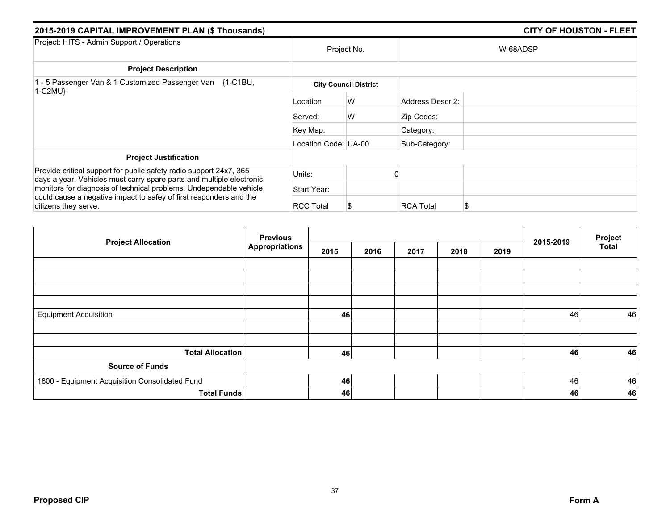| 2015-2019 CAPITAL IMPROVEMENT PLAN (\$ Thousands)                                                                                                                                                                |                              |             |                  | <b>CITY OF HOUSTON - FLEET</b> |  |  |  |
|------------------------------------------------------------------------------------------------------------------------------------------------------------------------------------------------------------------|------------------------------|-------------|------------------|--------------------------------|--|--|--|
| Project: HITS - Admin Support / Operations                                                                                                                                                                       |                              | Project No. |                  | W-68ADSP                       |  |  |  |
| <b>Project Description</b>                                                                                                                                                                                       |                              |             |                  |                                |  |  |  |
| 1 - 5 Passenger Van & 1 Customized Passenger Van {1-C1BU,<br>$1-C2MU$                                                                                                                                            | <b>City Council District</b> |             |                  |                                |  |  |  |
|                                                                                                                                                                                                                  | Location                     | W           | Address Descr 2: |                                |  |  |  |
|                                                                                                                                                                                                                  | Served:                      | W           | Zip Codes:       |                                |  |  |  |
|                                                                                                                                                                                                                  | Key Map:                     |             | Category:        |                                |  |  |  |
|                                                                                                                                                                                                                  | Location Code: UA-00         |             | Sub-Category:    |                                |  |  |  |
| <b>Project Justification</b>                                                                                                                                                                                     |                              |             |                  |                                |  |  |  |
| Provide critical support for public safety radio support 24x7, 365<br>days a year. Vehicles must carry spare parts and multiple electronic<br>monitors for diagnosis of technical problems. Undependable vehicle | Units:                       |             |                  |                                |  |  |  |
|                                                                                                                                                                                                                  | Start Year:                  |             |                  |                                |  |  |  |
| could cause a negative impact to safey of first responders and the<br>citizens they serve.                                                                                                                       | <b>RCC Total</b>             |             | <b>RCA Total</b> | \$                             |  |  |  |

| <b>Project Allocation</b>                      | <b>Previous</b>       |      |      |      | Project |      |           |              |
|------------------------------------------------|-----------------------|------|------|------|---------|------|-----------|--------------|
|                                                | <b>Appropriations</b> | 2015 | 2016 | 2017 | 2018    | 2019 | 2015-2019 | <b>Total</b> |
|                                                |                       |      |      |      |         |      |           |              |
|                                                |                       |      |      |      |         |      |           |              |
|                                                |                       |      |      |      |         |      |           |              |
|                                                |                       |      |      |      |         |      |           |              |
| <b>Equipment Acquisition</b>                   |                       | 46   |      |      |         |      | 46        | 46           |
|                                                |                       |      |      |      |         |      |           |              |
|                                                |                       |      |      |      |         |      |           |              |
| <b>Total Allocation</b>                        |                       | 46   |      |      |         |      | 46        | 46           |
| <b>Source of Funds</b>                         |                       |      |      |      |         |      |           |              |
| 1800 - Equipment Acquisition Consolidated Fund |                       | 46   |      |      |         |      | 46        | 46           |
| <b>Total Funds</b>                             |                       | 46   |      |      |         |      | 46        | 46           |